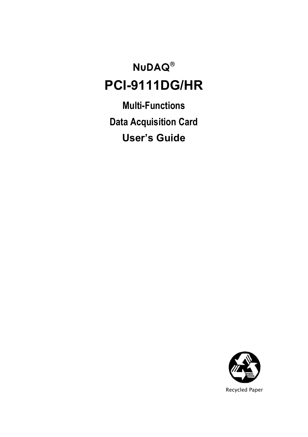## **NuDAQ**® **PCI-9111DG/HR**

**Multi-Functions Data Acquisition Card User's Guide**

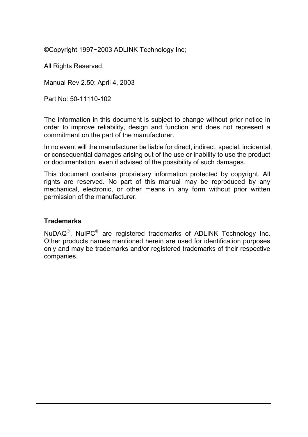©Copyright 1997~2003 ADLINK Technology Inc;

All Rights Reserved.

Manual Rev 2.50: April 4, 2003

Part No: 50-11110-102

The information in this document is subject to change without prior notice in order to improve reliability, design and function and does not represent a commitment on the part of the manufacturer.

In no event will the manufacturer be liable for direct, indirect, special, incidental, or consequential damages arising out of the use or inability to use the product or documentation, even if advised of the possibility of such damages.

This document contains proprietary information protected by copyright. All rights are reserved. No part of this manual may be reproduced by any mechanical, electronic, or other means in any form without prior written permission of the manufacturer.

#### **Trademarks**

NuDAQ®, NuIPC® are registered trademarks of ADLINK Technology Inc. Other products names mentioned herein are used for identification purposes only and may be trademarks and/or registered trademarks of their respective companies.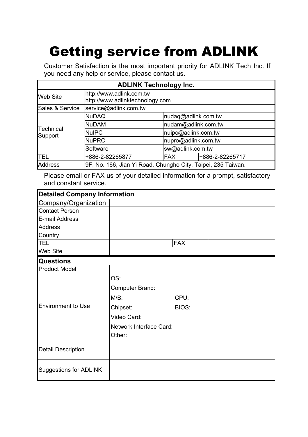## Getting service from ADLINK

Customer Satisfaction is the most important priority for ADLINK Tech Inc. If you need any help or service, please contact us.

| <b>ADLINK Technology Inc.</b> |                                                              |                     |                 |  |
|-------------------------------|--------------------------------------------------------------|---------------------|-----------------|--|
| Web Site                      | http://www.adlink.com.tw<br>http://www.adlinktechnology.com  |                     |                 |  |
| Sales & Service               | service@adlink.com.tw                                        |                     |                 |  |
|                               | <b>NuDAQ</b>                                                 | nudaq@adlink.com.tw |                 |  |
|                               | <b>NuDAM</b>                                                 | nudam@adlink.com.tw |                 |  |
| Technical<br>Support          | <b>NulPC</b>                                                 | nuipc@adlink.com.tw |                 |  |
|                               | <b>NuPRO</b>                                                 | nupro@adlink.com.tw |                 |  |
|                               | Software                                                     | sw@adlink.com.tw    |                 |  |
| <b>TEL</b>                    | +886-2-82265877                                              | FAX                 | +886-2-82265717 |  |
| <b>Address</b>                | 9F, No. 166, Jian Yi Road, Chungho City, Taipei, 235 Taiwan. |                     |                 |  |

Please email or FAX us of your detailed information for a prompt, satisfactory and constant service.

| <b>Detailed Company Information</b> |                         |            |  |
|-------------------------------------|-------------------------|------------|--|
| Company/Organization                |                         |            |  |
| <b>Contact Person</b>               |                         |            |  |
| E-mail Address                      |                         |            |  |
| <b>Address</b>                      |                         |            |  |
| Country                             |                         |            |  |
| <b>TEL</b>                          |                         | <b>FAX</b> |  |
| Web Site                            |                         |            |  |
| <b>Questions</b>                    |                         |            |  |
| <b>Product Model</b>                |                         |            |  |
|                                     | OS:                     |            |  |
|                                     | Computer Brand:         |            |  |
|                                     | $M/B$ :                 | CPU:       |  |
| Environment to Use                  | Chipset:                | BIOS:      |  |
|                                     | Video Card:             |            |  |
|                                     | Network Interface Card: |            |  |
|                                     | Other:                  |            |  |
| <b>Detail Description</b>           |                         |            |  |
|                                     |                         |            |  |
| Suggestions for ADLINK              |                         |            |  |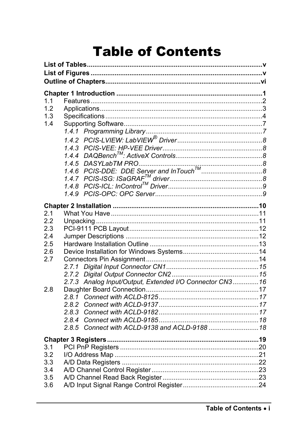## **Table of Contents**

| 1.1        |       |                                                          |  |
|------------|-------|----------------------------------------------------------|--|
| 1.2<br>1.3 |       |                                                          |  |
| 1.4        |       |                                                          |  |
|            |       |                                                          |  |
|            |       |                                                          |  |
|            |       |                                                          |  |
|            |       |                                                          |  |
|            |       |                                                          |  |
|            |       |                                                          |  |
|            |       |                                                          |  |
|            |       |                                                          |  |
|            |       |                                                          |  |
|            |       |                                                          |  |
|            |       |                                                          |  |
| 2.1        |       |                                                          |  |
| 2.2        |       |                                                          |  |
| 2.3        |       |                                                          |  |
| 2.4        |       |                                                          |  |
| 2.5        |       |                                                          |  |
| 2.6        |       |                                                          |  |
| 2.7        |       |                                                          |  |
|            |       |                                                          |  |
|            |       |                                                          |  |
|            |       | 2.7.3 Analog Input/Output, Extended I/O Connector CN3 16 |  |
| 2.8        |       |                                                          |  |
|            |       |                                                          |  |
|            | 2.8.3 |                                                          |  |
|            |       |                                                          |  |
|            |       | 2.8.5 Connect with ACLD-9138 and ACLD-9188  18           |  |
|            |       |                                                          |  |
|            |       |                                                          |  |
| 3.1        |       |                                                          |  |
| 3.2        |       |                                                          |  |
| 3.3        |       |                                                          |  |
| 3.4        |       |                                                          |  |
| 3.5        |       |                                                          |  |
| 3.6        |       |                                                          |  |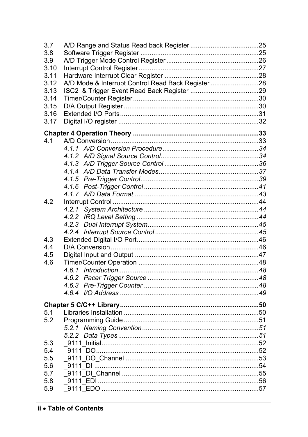| 3.7  |                                                    |  |
|------|----------------------------------------------------|--|
| 3.8  |                                                    |  |
| 3.9  |                                                    |  |
| 3.10 |                                                    |  |
| 3.11 |                                                    |  |
| 3.12 | A/D Mode & Interrupt Control Read Back Register 28 |  |
| 3.13 |                                                    |  |
| 3.14 |                                                    |  |
| 3.15 |                                                    |  |
| 3.16 |                                                    |  |
| 3.17 |                                                    |  |
|      |                                                    |  |
| 4.1  |                                                    |  |
|      |                                                    |  |
|      |                                                    |  |
|      |                                                    |  |
|      |                                                    |  |
|      |                                                    |  |
|      |                                                    |  |
|      |                                                    |  |
| 4.2  |                                                    |  |
|      | 4.2.1                                              |  |
|      |                                                    |  |
|      |                                                    |  |
|      |                                                    |  |
| 4.3  |                                                    |  |
| 4.4  |                                                    |  |
| 4.5  |                                                    |  |
| 4.6  |                                                    |  |
|      |                                                    |  |
|      |                                                    |  |
|      |                                                    |  |
|      |                                                    |  |
|      |                                                    |  |
| 5.1  |                                                    |  |
| 5.2  |                                                    |  |
|      |                                                    |  |
|      |                                                    |  |
| 5.3  |                                                    |  |
| 5.4  |                                                    |  |
| 5.5  |                                                    |  |
| 5.6  |                                                    |  |
| 5.7  |                                                    |  |
| 5.8  |                                                    |  |
| 5.9  |                                                    |  |
|      |                                                    |  |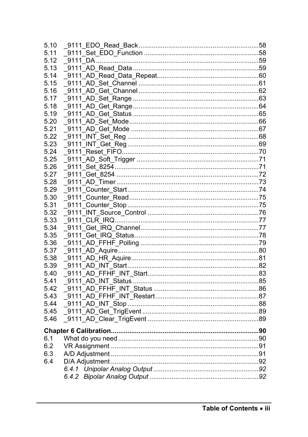| 5.10 |  |
|------|--|
| 5.11 |  |
| 5.12 |  |
| 5.13 |  |
| 5.14 |  |
| 5.15 |  |
| 5.16 |  |
| 5.17 |  |
| 5.18 |  |
| 5.19 |  |
| 5.20 |  |
| 5.21 |  |
| 5.22 |  |
| 5.23 |  |
| 5.24 |  |
| 5.25 |  |
| 5.26 |  |
| 5.27 |  |
| 5.28 |  |
| 5.29 |  |
| 5.30 |  |
| 5.31 |  |
| 5.32 |  |
| 5.33 |  |
| 5.34 |  |
| 5.35 |  |
| 5.36 |  |
| 5.37 |  |
| 5.38 |  |
| 5.39 |  |
| 5.40 |  |
| 5.41 |  |
| 5.42 |  |
| 5.43 |  |
| 5.44 |  |
| 5.45 |  |
| 5.46 |  |
|      |  |
| 6.1  |  |
| 6.2  |  |
| 6.3  |  |
| 6.4  |  |
|      |  |
|      |  |
|      |  |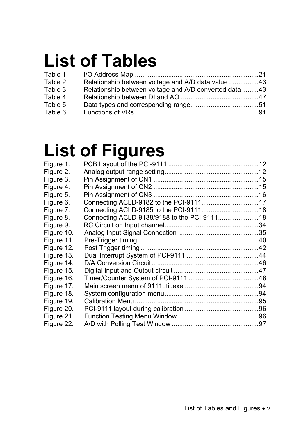# **List of Tables**

| Table 1:    |                                                        |  |
|-------------|--------------------------------------------------------|--|
| Table 2:    | Relationship between voltage and A/D data value 43     |  |
| Table 3:    | Relationship between voltage and A/D converted data 43 |  |
| Table 4:    |                                                        |  |
| Table $5$ : |                                                        |  |
| Table 6:    |                                                        |  |

## **List of Figures**

| Figure 1.  |                                             |  |
|------------|---------------------------------------------|--|
| Figure 2.  |                                             |  |
| Figure 3.  |                                             |  |
| Figure 4.  |                                             |  |
| Figure 5.  |                                             |  |
| Figure 6.  |                                             |  |
| Figure 7.  |                                             |  |
| Figure 8.  | Connecting ACLD-9138/9188 to the PCI-911118 |  |
| Figure 9.  |                                             |  |
| Figure 10. |                                             |  |
| Figure 11. |                                             |  |
| Figure 12. |                                             |  |
| Figure 13. |                                             |  |
| Figure 14. |                                             |  |
| Figure 15. |                                             |  |
| Figure 16. |                                             |  |
| Figure 17. |                                             |  |
| Figure 18. |                                             |  |
| Figure 19. |                                             |  |
| Figure 20. |                                             |  |
| Figure 21. |                                             |  |
| Figure 22. |                                             |  |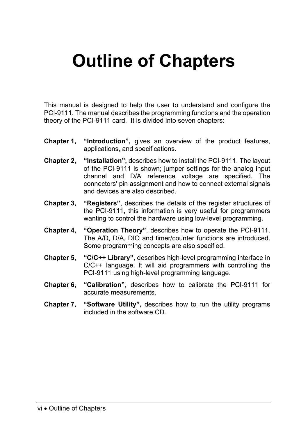# **Outline of Chapters**

This manual is designed to help the user to understand and configure the PCI-9111. The manual describes the programming functions and the operation theory of the PCI-9111 card. It is divided into seven chapters:

- **Chapter 1, "Introduction",** gives an overview of the product features, applications, and specifications.
- **Chapter 2, "Installation",** describes how to install the PCI-9111. The layout of the PCI-9111 is shown; jumper settings for the analog input channel and D/A reference voltage are specified. The connectors' pin assignment and how to connect external signals and devices are also described.
- **Chapter 3, "Registers"**, describes the details of the register structures of the PCI-9111, this information is very useful for programmers wanting to control the hardware using low-level programming.
- **Chapter 4, "Operation Theory"**, describes how to operate the PCI-9111. The A/D, D/A, DIO and timer/counter functions are introduced. Some programming concepts are also specified.
- **Chapter 5, "C/C++ Library",** describes high-level programming interface in C/C++ language. It will aid programmers with controlling the PCI-9111 using high-level programming language.
- **Chapter 6, "Calibration"**, describes how to calibrate the PCI-9111 for accurate measurements.
- **Chapter 7, "Software Utility",** describes how to run the utility programs included in the software CD.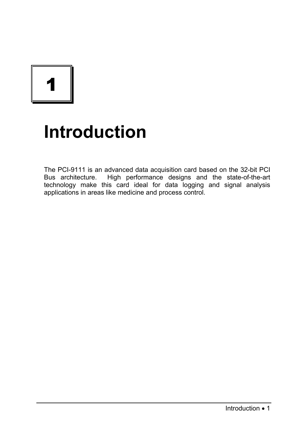## **Introduction**

The PCI-9111 is an advanced data acquisition card based on the 32-bit PCI Bus architecture. High performance designs and the state-of-the-art technology make this card ideal for data logging and signal analysis applications in areas like medicine and process control.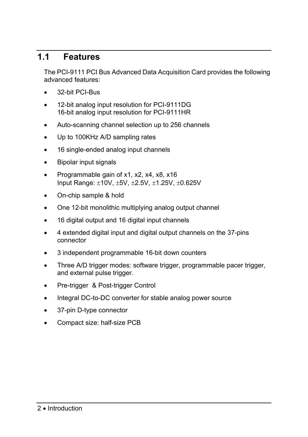## **1.1 Features**

The PCI-9111 PCI Bus Advanced Data Acquisition Card provides the following advanced features:

- 32-bit PCI-Bus
- 12-bit analog input resolution for PCI-9111DG 16-bit analog input resolution for PCI-9111HR
- Auto-scanning channel selection up to 256 channels
- Up to 100KHz A/D sampling rates
- 16 single-ended analog input channels
- Bipolar input signals
- Programmable gain of x1, x2, x4, x8, x16 Input Range: ±10V, ±5V, ±2.5V, ±1.25V, ±0.625V
- On-chip sample & hold
- One 12-bit monolithic multiplying analog output channel
- 16 digital output and 16 digital input channels
- 4 extended digital input and digital output channels on the 37-pins connector
- 3 independent programmable 16-bit down counters
- Three A/D trigger modes: software trigger, programmable pacer trigger, and external pulse trigger.
- Pre-trigger & Post-trigger Control
- Integral DC-to-DC converter for stable analog power source
- 37-pin D-type connector
- Compact size: half-size PCB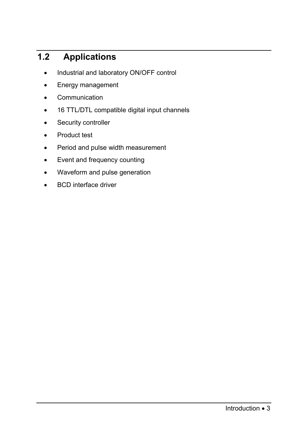## **1.2 Applications**

- Industrial and laboratory ON/OFF control
- Energy management
- Communication
- 16 TTL/DTL compatible digital input channels
- Security controller
- Product test
- Period and pulse width measurement
- Event and frequency counting
- Waveform and pulse generation
- BCD interface driver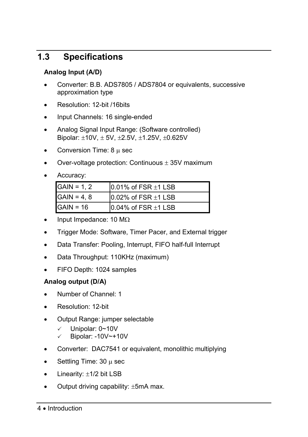## **1.3 Specifications**

#### **Analog Input (A/D)**

- Converter: B.B. ADS7805 / ADS7804 or equivalents, successive approximation type
- Resolution: 12-bit /16bits
- Input Channels: 16 single-ended
- Analog Signal Input Range: (Software controlled) Bipolar: ±10V, ± 5V, ±2.5V, ±1.25V, ±0.625V
- Conversion Time: 8 µ sec
- Over-voltage protection: Continuous  $\pm$  35V maximum
- Accuracy:

| $GAIN = 1.2$ | $10.01\%$ of FSR $\pm$ 1 LSB |
|--------------|------------------------------|
| $GAIN = 4.8$ | $10.02\%$ of FSR $\pm$ 1 LSB |
| $GAIN = 16$  | $10.04\%$ of FSR $\pm$ 1 LSB |

- Input Impedance: 10 M $\Omega$
- Trigger Mode: Software, Timer Pacer, and External trigger
- Data Transfer: Pooling, Interrupt, FIFO half-full Interrupt
- Data Throughput: 110KHz (maximum)
- FIFO Depth: 1024 samples

#### **Analog output (D/A)**

- Number of Channel: 1
- Resolution: 12-bit
- Output Range: jumper selectable
	- $\checkmark$  Unipolar: 0~10V
	- $\checkmark$  Bipolar: -10V~+10V
- Converter: DAC7541 or equivalent, monolithic multiplying
- Settling Time:  $30 \mu$  sec
- Linearity:  $\pm$ 1/2 bit LSB
- Output driving capability: ±5mA max.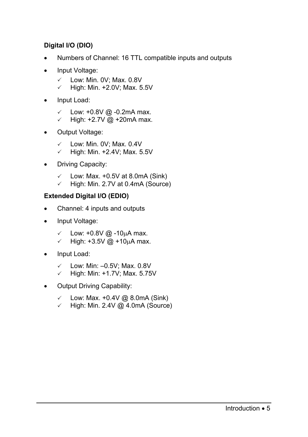#### **Digital I/O (DIO)**

- Numbers of Channel: 16 TTL compatible inputs and outputs
- Input Voltage:
	- $\checkmark$  Low: Min. 0V: Max. 0.8V
	- $\checkmark$  High: Min. +2.0V; Max. 5.5V
- Input Load:
	- $\checkmark$  Low: +0.8V @ -0.2mA max.
	- $\checkmark$  High: +2.7V @ +20mA max.
- Output Voltage:
	- $\checkmark$  Low: Min. 0V: Max. 0.4V
	- $\checkmark$  High: Min. +2.4V; Max. 5.5V
- Driving Capacity:
	- $\checkmark$  Low: Max. +0.5V at 8.0mA (Sink)
	- $\checkmark$  High: Min. 2.7V at 0.4mA (Source)

#### **Extended Digital I/O (EDIO)**

- Channel: 4 inputs and outputs
- Input Voltage:
	- $\checkmark$  Low: +0.8V @ -10µA max.
	- $\checkmark$  High: +3.5V @ +10µA max.
- Input Load:
	- $\checkmark$  Low: Min: –0.5V; Max. 0.8V
	- $\checkmark$  High: Min: +1.7V; Max. 5.75V
- Output Driving Capability:
	- $\checkmark$  Low: Max. +0.4V @ 8.0mA (Sink)
	- $\checkmark$  High: Min. 2.4V @ 4.0mA (Source)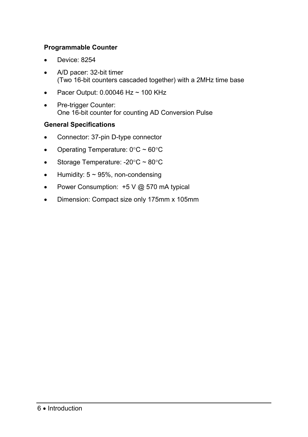#### **Programmable Counter**

- Device: 8254
- A/D pacer: 32-bit timer (Two 16-bit counters cascaded together) with a 2MHz time base
- Pacer Output:  $0.00046$  Hz ~ 100 KHz
- Pre-trigger Counter: One 16-bit counter for counting AD Conversion Pulse

#### **General Specifications**

- Connector: 37-pin D-type connector
- Operating Temperature:  $0^{\circ}$ C ~  $60^{\circ}$ C
- Storage Temperature: -20°C ~ 80°C
- Humidity:  $5 \sim 95\%$ , non-condensing
- Power Consumption: +5 V @ 570 mA typical
- Dimension: Compact size only 175mm x 105mm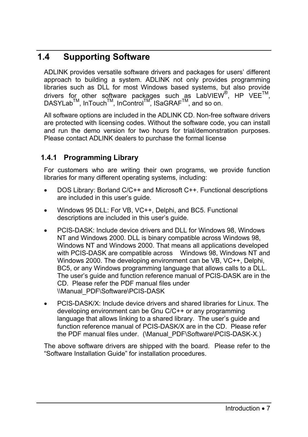## **1.4 Supporting Software**

ADLINK provides versatile software drivers and packages for users' different approach to building a system. ADLINK not only provides programming libraries such as DLL for most Windows based systems, but also provide drivers for other software packages such as LabVIEW<sup>®</sup>, HP VEE<sup>TM</sup>, DASYLabTM, InTouchTM, InControlTM, ISaGRAFTM, and so on.

All software options are included in the ADLINK CD. Non-free software drivers are protected with licensing codes. Without the software code, you can install and run the demo version for two hours for trial/demonstration purposes. Please contact ADLINK dealers to purchase the formal license

#### **1.4.1 Programming Library**

For customers who are writing their own programs, we provide function libraries for many different operating systems, including:

- DOS Library: Borland C/C++ and Microsoft C++. Functional descriptions are included in this user's guide.
- Windows 95 DLL: For VB, VC++, Delphi, and BC5. Functional descriptions are included in this user's guide.
- PCIS-DASK: Include device drivers and DLL for Windows 98, Windows NT and Windows 2000. DLL is binary compatible across Windows 98, Windows NT and Windows 2000. That means all applications developed with PCIS-DASK are compatible across Windows 98, Windows NT and Windows 2000. The developing environment can be VB, VC++, Delphi, BC5, or any Windows programming language that allows calls to a DLL. The user's guide and function reference manual of PCIS-DASK are in the CD. Please refer the PDF manual files under \\Manual\_PDF\Software\PCIS-DASK
- PCIS-DASK/X: Include device drivers and shared libraries for Linux. The developing environment can be Gnu C/C++ or any programming language that allows linking to a shared library. The user's guide and function reference manual of PCIS-DASK/X are in the CD. Please refer the PDF manual files under. (\Manual\_PDF\Software\PCIS-DASK-X.)

The above software drivers are shipped with the board. Please refer to the "Software Installation Guide" for installation procedures.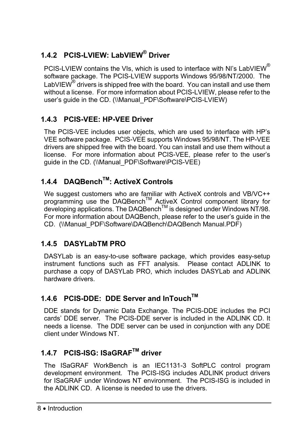## **1.4.2 PCIS-LVIEW: LabVIEW® Driver**

PCIS-LVIEW contains the VIs, which is used to interface with NI's LabVIEW<sup>®</sup> software package. The PCIS-LVIEW supports Windows 95/98/NT/2000. The LabVIEW $^{\circledR}$  drivers is shipped free with the board. You can install and use them without a license. For more information about PCIS-LVIEW, please refer to the user's guide in the CD. (\\Manual\_PDF\Software\PCIS-LVIEW)

### **1.4.3 PCIS-VEE: HP-VEE Driver**

The PCIS-VEE includes user objects, which are used to interface with HP's VEE software package. PCIS-VEE supports Windows 95/98/NT. The HP-VEE drivers are shipped free with the board. You can install and use them without a license. For more information about PCIS-VEE, please refer to the user's guide in the CD. (\\Manual\_PDF\Software\PCIS-VEE)

## **1.4.4 DAQBenchTM: ActiveX Controls**

We suggest customers who are familiar with ActiveX controls and VB/VC++ programming use the DAQBenchTM ActiveX Control component library for developing applications. The DAQBenchTM is designed under Windows NT/98. For more information about DAQBench, please refer to the user's guide in the CD. (\\Manual\_PDF\Software\DAQBench\DAQBench Manual.PDF)

### **1.4.5 DASYLabTM PRO**

DASYLab is an easy-to-use software package, which provides easy-setup instrument functions such as FFT analysis. Please contact ADLINK to purchase a copy of DASYLab PRO, which includes DASYLab and ADLINK hardware drivers.

## **1.4.6 PCIS-DDE: DDE Server and InTouchTM**

DDE stands for Dynamic Data Exchange. The PCIS-DDE includes the PCI cards' DDE server. The PCIS-DDE server is included in the ADLINK CD. It needs a license. The DDE server can be used in conjunction with any DDE client under Windows NT.

## **1.4.7 PCIS-ISG: ISaGRAFTM driver**

The ISaGRAF WorkBench is an IEC1131-3 SoftPLC control program development environment. The PCIS-ISG includes ADLINK product drivers for ISaGRAF under Windows NT environment. The PCIS-ISG is included in the ADLINK CD. A license is needed to use the drivers.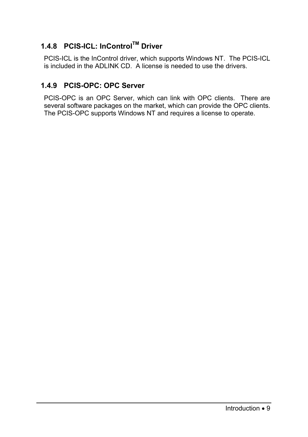### **1.4.8 PCIS-ICL: InControlTM Driver**

PCIS-ICL is the InControl driver, which supports Windows NT. The PCIS-ICL is included in the ADLINK CD. A license is needed to use the drivers.

#### **1.4.9 PCIS-OPC: OPC Server**

PCIS-OPC is an OPC Server, which can link with OPC clients. There are several software packages on the market, which can provide the OPC clients. The PCIS-OPC supports Windows NT and requires a license to operate.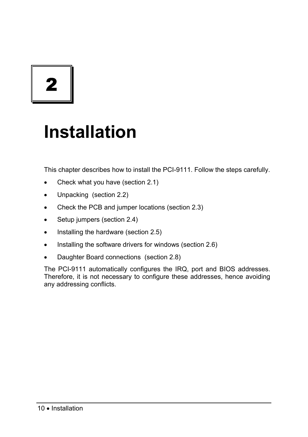2

## **Installation**

This chapter describes how to install the PCI-9111. Follow the steps carefully.

- Check what you have (section 2.1)
- Unpacking (section 2.2)
- Check the PCB and jumper locations (section 2.3)
- Setup jumpers (section 2.4)
- Installing the hardware (section 2.5)
- Installing the software drivers for windows (section 2.6)
- Daughter Board connections (section 2.8)

The PCI-9111 automatically configures the IRQ, port and BIOS addresses. Therefore, it is not necessary to configure these addresses, hence avoiding any addressing conflicts.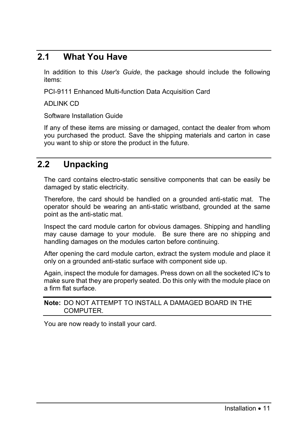## **2.1 What You Have**

In addition to this *User's Guide*, the package should include the following items:

PCI-9111 Enhanced Multi-function Data Acquisition Card

ADLINK CD

Software Installation Guide

If any of these items are missing or damaged, contact the dealer from whom you purchased the product. Save the shipping materials and carton in case you want to ship or store the product in the future.

### **2.2 Unpacking**

The card contains electro-static sensitive components that can be easily be damaged by static electricity.

Therefore, the card should be handled on a grounded anti-static mat. The operator should be wearing an anti-static wristband, grounded at the same point as the anti-static mat.

Inspect the card module carton for obvious damages. Shipping and handling may cause damage to your module. Be sure there are no shipping and handling damages on the modules carton before continuing.

After opening the card module carton, extract the system module and place it only on a grounded anti-static surface with component side up.

Again, inspect the module for damages. Press down on all the socketed IC's to make sure that they are properly seated. Do this only with the module place on a firm flat surface.

#### **Note:** DO NOT ATTEMPT TO INSTALL A DAMAGED BOARD IN THE COMPUTER.

You are now ready to install your card.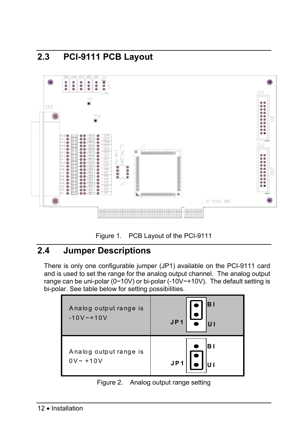



## **2.4 Jumper Descriptions**

There is only one configurable jumper (JP1) available on the PCI-9111 card and is used to set the range for the analog output channel. The analog output range can be uni-polar (0~10V) or bi-polar (-10V~+10V). The default setting is bi-polar. See table below for setting possibilities.

| Analog output range is<br>$-10V - 10V$ | JP1 |
|----------------------------------------|-----|
| Analog output range is                 | вı  |
| $0V - +10V$                            | JP1 |

Figure 2. Analog output range setting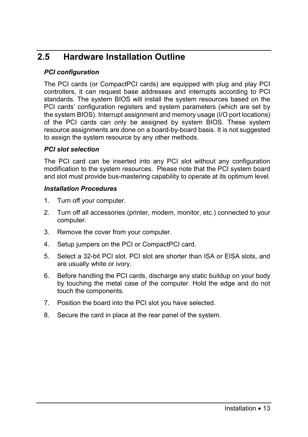## **2.5 Hardware Installation Outline**

#### *PCI configuration*

The PCI cards (or CompactPCI cards) are equipped with plug and play PCI controllers, it can request base addresses and interrupts according to PCI standards. The system BIOS will install the system resources based on the PCI cards' configuration registers and system parameters (which are set by the system BIOS). Interrupt assignment and memory usage (I/O port locations) of the PCI cards can only be assigned by system BIOS. These system resource assignments are done on a board-by-board basis. It is not suggested to assign the system resource by any other methods.

#### *PCI slot selection*

The PCI card can be inserted into any PCI slot without any configuration modification to the system resources. Please note that the PCI system board and slot must provide bus-mastering capability to operate at its optimum level.

#### *Installation Procedures*

- 1. Turn off your computer.
- 2. Turn off all accessories (printer, modem, monitor, etc.) connected to your computer.
- 3. Remove the cover from your computer.
- 4. Setup jumpers on the PCI or CompactPCI card.
- 5. Select a 32-bit PCI slot. PCI slot are shorter than ISA or EISA slots, and are usually white or ivory.
- 6. Before handling the PCI cards, discharge any static buildup on your body by touching the metal case of the computer. Hold the edge and do not touch the components.
- 7. Position the board into the PCI slot you have selected.
- 8. Secure the card in place at the rear panel of the system.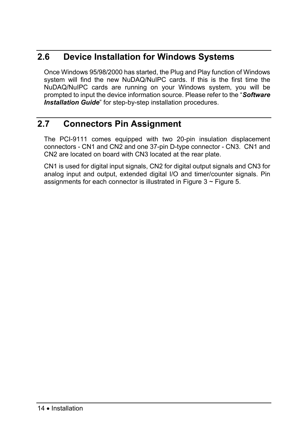## **2.6 Device Installation for Windows Systems**

Once Windows 95/98/2000 has started, the Plug and Play function of Windows system will find the new NuDAQ/NuIPC cards. If this is the first time the NuDAQ/NuIPC cards are running on your Windows system, you will be prompted to input the device information source. Please refer to the "*Software*  **Installation Guide**" for step-by-step installation procedures.

## **2.7 Connectors Pin Assignment**

The PCI-9111 comes equipped with two 20-pin insulation displacement connectors - CN1 and CN2 and one 37-pin D-type connector - CN3. CN1 and CN2 are located on board with CN3 located at the rear plate.

CN1 is used for digital input signals, CN2 for digital output signals and CN3 for analog input and output, extended digital I/O and timer/counter signals. Pin assignments for each connector is illustrated in Figure  $3 \sim$  Figure 5.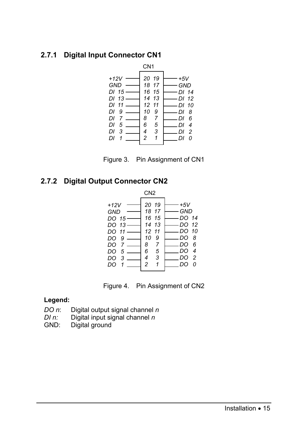#### **2.7.1 Digital Input Connector CN1**





#### **2.7.2 Digital Output Connector CN2**

| CN <sub>2</sub>                                                                                            |                                                                                  |                                  |                                                                           |                                               |  |  |
|------------------------------------------------------------------------------------------------------------|----------------------------------------------------------------------------------|----------------------------------|---------------------------------------------------------------------------|-----------------------------------------------|--|--|
| $+12V$<br><b>GND</b><br>DO $151$<br>DO 13.<br>DO 11-<br>DO 9-<br>DO 7-<br>DO<br>$5-$<br>3<br>DO<br>DO<br>1 | 20 19<br>18 17<br>16 15<br>14 13<br>12 11<br>10<br>8<br>6<br>4<br>$\overline{c}$ | 9<br>7<br>5<br>3<br>$\mathcal I$ | $+5V$<br>GND<br>DO 14<br>DO 12<br>-DO 10<br>_DO 8<br>DO<br>DO<br>DO<br>DO | -6<br>$\boldsymbol{4}$<br>$\overline{2}$<br>0 |  |  |
|                                                                                                            |                                                                                  |                                  |                                                                           |                                               |  |  |



#### **Legend:**

- *DO n*: Digital output signal channel *n*
- *DI n:* Digital input signal channel *n*<br>GND: Digital ground
- Digital ground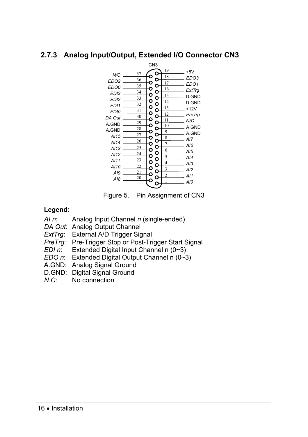#### **2.7.3 Analog Input/Output, Extended I/O Connector CN3**



Figure 5. Pin Assignment of CN3

#### **Legend:**

- *AI n*: Analog Input Channel *n* (single-ended)
- *DA Out*: Analog Output Channel
- *ExtTrg*: External A/D Trigger Signal
- *PreTrg*: Pre-Trigger Stop or Post-Trigger Start Signal
- *EDI n*: Extended Digital Input Channel n (0~3)
- *EDO n*: Extended Digital Output Channel n (0~3)
- A.GND: Analog Signal Ground
- D.GND: Digital Signal Ground
- *N.C*: No connection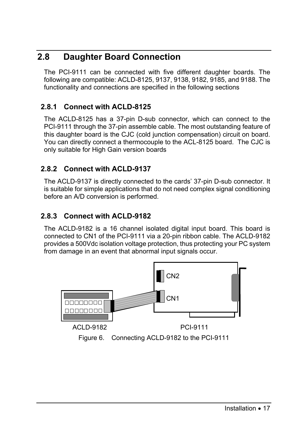## **2.8 Daughter Board Connection**

The PCI-9111 can be connected with five different daughter boards. The following are compatible: ACLD-8125, 9137, 9138, 9182, 9185, and 9188. The functionality and connections are specified in the following sections

### **2.8.1 Connect with ACLD-8125**

The ACLD-8125 has a 37-pin D-sub connector, which can connect to the PCI-9111 through the 37-pin assemble cable. The most outstanding feature of this daughter board is the CJC (cold junction compensation) circuit on board. You can directly connect a thermocouple to the ACL-8125 board. The CJC is only suitable for High Gain version boards

#### **2.8.2 Connect with ACLD-9137**

The ACLD-9137 is directly connected to the cards' 37-pin D-sub connector. It is suitable for simple applications that do not need complex signal conditioning before an A/D conversion is performed.

#### **2.8.3 Connect with ACLD-9182**

The ACLD-9182 is a 16 channel isolated digital input board. This board is connected to CN1 of the PCI-9111 via a 20-pin ribbon cable. The ACLD-9182 provides a 500Vdc isolation voltage protection, thus protecting your PC system from damage in an event that abnormal input signals occur.

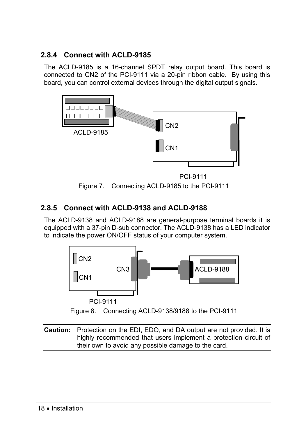#### **2.8.4 Connect with ACLD-9185**

The ACLD-9185 is a 16-channel SPDT relay output board. This board is connected to CN2 of the PCI-9111 via a 20-pin ribbon cable. By using this board, you can control external devices through the digital output signals.



PCI-9111



#### **2.8.5 Connect with ACLD-9138 and ACLD-9188**

The ACLD-9138 and ACLD-9188 are general-purpose terminal boards it is equipped with a 37-pin D-sub connector. The ACLD-9138 has a LED indicator to indicate the power ON/OFF status of your computer system.



Figure 8. Connecting ACLD-9138/9188 to the PCI-9111

**Caution:** Protection on the EDI, EDO, and DA output are not provided. It is highly recommended that users implement a protection circuit of their own to avoid any possible damage to the card.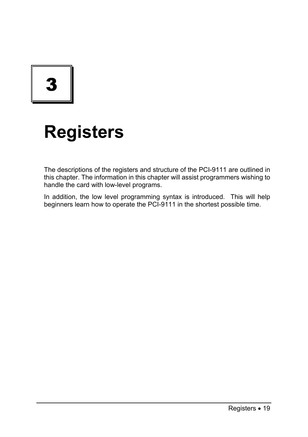3

# **Registers**

The descriptions of the registers and structure of the PCI-9111 are outlined in this chapter. The information in this chapter will assist programmers wishing to handle the card with low-level programs.

In addition, the low level programming syntax is introduced. This will help beginners learn how to operate the PCI-9111 in the shortest possible time.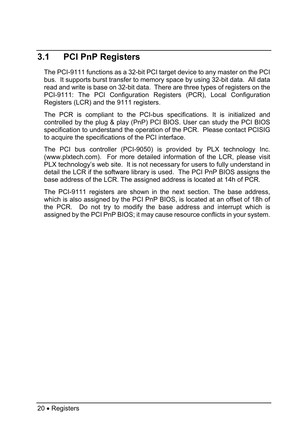## **3.1 PCI PnP Registers**

The PCI-9111 functions as a 32-bit PCI target device to any master on the PCI bus. It supports burst transfer to memory space by using 32-bit data. All data read and write is base on 32-bit data. There are three types of registers on the PCI-9111: The PCI Configuration Registers (PCR), Local Configuration Registers (LCR) and the 9111 registers.

The PCR is compliant to the PCI-bus specifications. It is initialized and controlled by the plug & play (PnP) PCI BIOS. User can study the PCI BIOS specification to understand the operation of the PCR. Please contact PCISIG to acquire the specifications of the PCI interface.

The PCI bus controller (PCI-9050) is provided by PLX technology Inc. (www.plxtech.com). For more detailed information of the LCR, please visit PLX technology's web site. It is not necessary for users to fully understand in detail the LCR if the software library is used. The PCI PnP BIOS assigns the base address of the LCR. The assigned address is located at 14h of PCR.

The PCI-9111 registers are shown in the next section. The base address, which is also assigned by the PCI PnP BIOS, is located at an offset of 18h of the PCR. Do not try to modify the base address and interrupt which is assigned by the PCI PnP BIOS; it may cause resource conflicts in your system.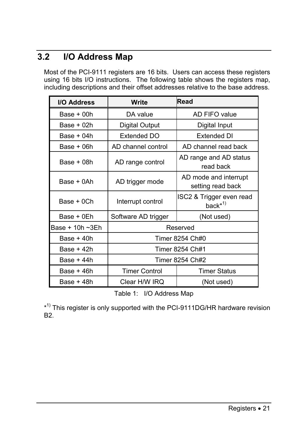## **3.2 I/O Address Map**

Most of the PCI-9111 registers are 16 bits. Users can access these registers using 16 bits I/O instructions. The following table shows the registers map, including descriptions and their offset addresses relative to the base address.

| I/O Address     | Write                | Read                                               |  |  |  |
|-----------------|----------------------|----------------------------------------------------|--|--|--|
| $Base + 00h$    | DA value             | AD FIFO value                                      |  |  |  |
| Base $+02h$     | Digital Output       | Digital Input                                      |  |  |  |
| Base $+04h$     | Extended DO          | Extended DI                                        |  |  |  |
| $Base + 06h$    | AD channel control   | AD channel read back                               |  |  |  |
| $Base + 08h$    | AD range control     | AD range and AD status<br>read back                |  |  |  |
| Base + 0Ah      | AD trigger mode      | AD mode and interrupt<br>setting read back         |  |  |  |
| Base + 0Ch      | Interrupt control    | ISC2 & Trigger even read<br>back $*$ <sup>1)</sup> |  |  |  |
| Base + 0Eh      | Software AD trigger  | (Not used)                                         |  |  |  |
| Base + 10h ~3Eh |                      | Reserved                                           |  |  |  |
| Base $+40h$     |                      | Timer 8254 Ch#0                                    |  |  |  |
| Base $+42h$     |                      | Timer 8254 Ch#1                                    |  |  |  |
| $Base + 44h$    | Timer 8254 Ch#2      |                                                    |  |  |  |
| $Base + 46h$    | <b>Timer Control</b> | <b>Timer Status</b>                                |  |  |  |
| Base + 48h      | Clear H/W IRQ        | (Not used)                                         |  |  |  |

Table 1: I/O Address Map

\*<sup>1)</sup> This register is only supported with the PCI-9111DG/HR hardware revision B2.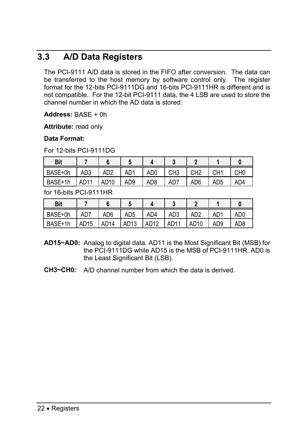## **3.3 A/D Data Registers**

The PCI-9111 A/D data is stored in the FIFO after conversion. The data can be transferred to the host memory by software control only. The register format for the 12-bits PCI-9111DG and 16-bits PCI-9111HR is different and is not compatible. For the 12-bit PCI-9111 data, the 4 LSB are used to store the channel number in which the AD data is stored.

**Address:** BASE + 0h

**Attribute:** read only

#### **Data Format:**

For 12-bits PCI-9111DG

| <b>Bit</b> |                  |                  |     |                 |                 |                 |     |     |
|------------|------------------|------------------|-----|-----------------|-----------------|-----------------|-----|-----|
| BASE+0h    | AD3              | AD <sub>2</sub>  | AD1 | AD <sub>0</sub> | CH <sub>3</sub> | CH <sub>2</sub> | CH1 | CH0 |
| BASE+1h    | AD <sub>11</sub> | AD <sub>10</sub> | AD9 | AD8             | AD7             | AD6             | AD5 | AD4 |

for 16-bits PCI-9111HR

| <b>Bit</b> |                  |                  |                   |             |                   |                  |     |                 |
|------------|------------------|------------------|-------------------|-------------|-------------------|------------------|-----|-----------------|
| BASE+0h    | AD7              | AD <sub>6</sub>  | AD <sub>5</sub>   | AD4         | AD <sub>3</sub>   | AD <sub>2</sub>  | AD1 | AD0             |
| BASE+1h    | AD <sub>15</sub> | AD <sub>14</sub> | LAD <sub>13</sub> | <b>AD12</b> | LAD <sub>11</sub> | AD <sub>10</sub> | AD9 | AD <sub>8</sub> |

- **AD15~AD0:** Analog to digital data. AD11 is the Most Significant Bit (MSB) for the PCI-9111DG while AD15 is the MSB of PCI-9111HR. AD0 is the Least Significant Bit (LSB).
- **CH3~CH0:** A/D channel number from which the data is derived.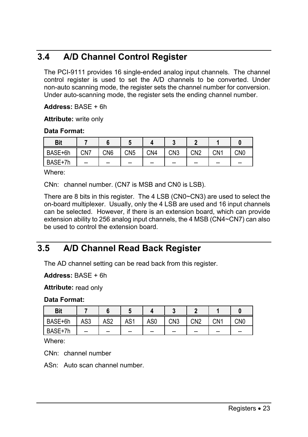## **3.4 A/D Channel Control Register**

The PCI-9111 provides 16 single-ended analog input channels. The channel control register is used to set the A/D channels to be converted. Under non-auto scanning mode, the register sets the channel number for conversion. Under auto-scanning mode, the register sets the ending channel number.

**Address:** BASE + 6h

**Attribute:** write only

#### **Data Format:**

| <b>Bit</b> |     |       | $\overline{\phantom{a}}$ |                 |                 |                 |       |       |
|------------|-----|-------|--------------------------|-----------------|-----------------|-----------------|-------|-------|
| BASE+6h    | CN7 | CN6   | CN <sub>5</sub>          | CN <sub>4</sub> | CN <sub>3</sub> | CN <sub>2</sub> | CN1   | CN0   |
| BASE+7h    | --  | $- -$ | $- -$                    | --              | $- -$           | $- -$           | $- -$ | $- -$ |

Where:

CNn: channel number. (CN7 is MSB and CN0 is LSB).

There are 8 bits in this register. The 4 LSB (CN0~CN3) are used to select the on-board multiplexer. Usually, only the 4 LSB are used and 16 input channels can be selected. However, if there is an extension board, which can provide extension ability to 256 analog input channels, the 4 MSB (CN4~CN7) can also be used to control the extension board.

## **3.5 A/D Channel Read Back Register**

The AD channel setting can be read back from this register.

**Address:** BASE + 6h

**Attribute:** read only

**Data Format:** 

| <b>Bit</b> |     |                 |       |       |       |                 |     |       |
|------------|-----|-----------------|-------|-------|-------|-----------------|-----|-------|
| BASE+6h    | AS3 | AS <sub>2</sub> | AS1   | AS0   | CN3   | CN <sub>2</sub> | CN1 | CN0   |
| BASE+7h    | $-$ | --              | $- -$ | $- -$ | $- -$ | $- -$           | --  | $- -$ |

Where:

CNn: channel number

ASn: Auto scan channel number.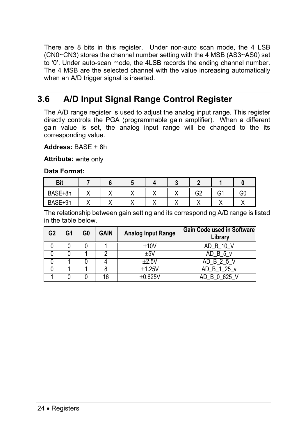There are 8 bits in this register. Under non-auto scan mode, the 4 LSB (CN0~CN3) stores the channel number setting with the 4 MSB (AS3~AS0) set to '0'. Under auto-scan mode, the 4LSB records the ending channel number. The 4 MSB are the selected channel with the value increasing automatically when an A/D trigger signal is inserted.

## **3.6 A/D Input Signal Range Control Register**

The A/D range register is used to adjust the analog input range. This register directly controls the PGA (programmable gain amplifier). When a different gain value is set, the analog input range will be changed to the its corresponding value.

**Address:** BASE + 8h

**Attribute:** write only

**Data Format:** 

| <b>Bit</b> |  |  |     |                |    |    |
|------------|--|--|-----|----------------|----|----|
| BASE+8h    |  |  | . . | G <sub>2</sub> | G1 | GC |
| BASE+9h    |  |  |     |                |    |    |

The relationship between gain setting and its corresponding A/D range is listed in the table below.

| G <sub>2</sub> | G1 | G <sub>0</sub> | <b>GAIN</b> | <b>Analog Input Range</b> | <b>Gain Code used in Software</b><br>Library |
|----------------|----|----------------|-------------|---------------------------|----------------------------------------------|
|                |    |                |             | ±10V                      | $AD \ B \ 10$                                |
|                |    |                |             | $+5V$                     | AD B 5 v                                     |
|                |    |                |             | $+2.5V$                   | AD B 2 5                                     |
|                |    |                |             | $\pm$ 1.25V               | AD B 1 $25\overline{v}$                      |
|                |    |                | 16          | ገ 625V                    | 'nВ.                                         |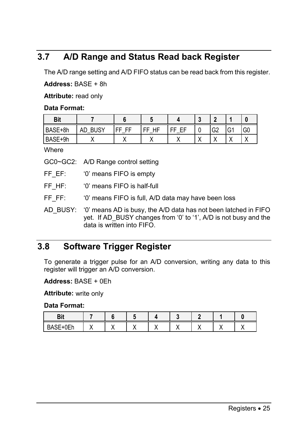## **3.7 A/D Range and Status Read back Register**

The A/D range setting and A/D FIFO status can be read back from this register.

**Address:** BASE + 8h

**Attribute:** read only

#### **Data Format:**

| <b>Bit</b> |                   |        |         |         | $\overline{\phantom{a}}$ |                    |                |    |
|------------|-------------------|--------|---------|---------|--------------------------|--------------------|----------------|----|
| BASE+8h    | <b>BUSY</b><br>AD | ᄄ<br>ᄄ | НF<br>ᄄ | ᄄ<br>EF | $\sqrt{2}$<br>u          | G <sub>2</sub>     | $\sim$<br>ו ט' | G0 |
| BASE+9h    |                   |        |         |         |                          | $\cdot$<br>$\cdot$ |                |    |

**Where** 

GC0~GC2: A/D Range control setting

FF EF: '0' means FIFO is empty

FF HF: '0' means FIFO is half-full

FF FF: '0' means FIFO is full, A/D data may have been loss

AD\_BUSY: '0' means AD is busy, the A/D data has not been latched in FIFO yet. If AD BUSY changes from '0' to '1', A/D is not busy and the data is written into FIFO.

## **3.8 Software Trigger Register**

To generate a trigger pulse for an A/D conversion, writing any data to this register will trigger an A/D conversion.

**Address:** BASE + 0Eh

**Attribute:** write only

**Data Format:** 

| n 14<br>יי                                                                  |  |  |  |  |
|-----------------------------------------------------------------------------|--|--|--|--|
| $\sim$<br>$\sim$<br>D <sub>A</sub><br>. .<br>$+0$ $-1$<br>◡<br>◡–…<br><br>- |  |  |  |  |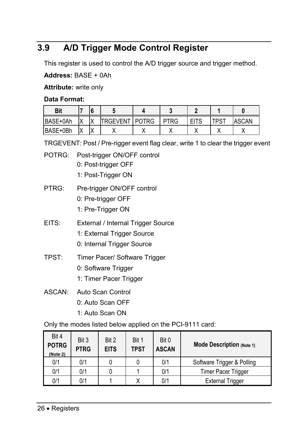## **3.9 A/D Trigger Mode Control Register**

This register is used to control the A/D trigger source and trigger method.

#### **Address:** BASE + 0Ah

**Attribute:** write only

#### **Data Format:**

| Bit             |   |   |                 |              |             |             |             |              |
|-----------------|---|---|-----------------|--------------|-------------|-------------|-------------|--------------|
| BASE+0Ah        | v | v | <b>TRGEVENT</b> | <b>POTRG</b> | <b>PTRG</b> | <b>EITS</b> | <b>TPST</b> | <b>ASCAN</b> |
| <b>BASE+0Bh</b> | v |   |                 |              |             |             |             |              |

TRGEVENT: Post / Pre-rigger event flag clear, write 1 to clear the trigger event

- POTRG: Post-trigger ON/OFF control 0: Post-trigger OFF
	- 1: Post-Trigger ON
- PTRG: Pre-trigger ON/OFF control
	- 0: Pre-trigger OFF
	- 1: Pre-Trigger ON
- EITS: External / Internal Trigger Source
	- 1: External Trigger Source
	- 0: Internal Trigger Source
- TPST: Timer Pacer/ Software Trigger
	- 0: Software Trigger
	- 1: Timer Pacer Trigger
- ASCAN: Auto Scan Control
	- 0: Auto Scan OFF
	- 1: Auto Scan ON

Only the modes listed below applied on the PCI-9111 card:

| Bit 4<br><b>POTRG</b><br>(Note 2) | Bit 3<br><b>PTRG</b> | Bit 2<br><b>EITS</b> | Bit 1<br><b>TPST</b> | Bit 0<br><b>ASCAN</b> | <b>Mode Description (Note 1)</b> |
|-----------------------------------|----------------------|----------------------|----------------------|-----------------------|----------------------------------|
| 0/1                               | 0/1                  |                      |                      | 0/1                   | Software Trigger & Polling       |
| 0/1                               | 0/1                  |                      |                      | 0/1                   | <b>Timer Pacer Trigger</b>       |
| 0/1                               | 0/1                  |                      |                      | 0/1                   | <b>External Trigger</b>          |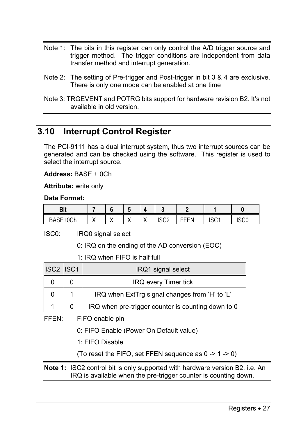- Note 1: The bits in this register can only control the A/D trigger source and trigger method. The trigger conditions are independent from data transfer method and interrupt generation.
- Note 2: The setting of Pre-trigger and Post-trigger in bit 3 & 4 are exclusive. There is only one mode can be enabled at one time
- Note 3: TRGEVENT and POTRG bits support for hardware revision B2. It's not available in old version.

# **3.10 Interrupt Control Register**

The PCI-9111 has a dual interrupt system, thus two interrupt sources can be generated and can be checked using the software. This register is used to select the interrupt source.

**Address:** BASE + 0Ch

**Attribute:** write only

#### **Data Format:**

| D <sub>it</sub><br>יוס |           |  |              |             |                   |     |      |
|------------------------|-----------|--|--------------|-------------|-------------------|-----|------|
| 0Ch                    | $\lambda$ |  | $\mathbf{v}$ | 1000<br>ouz | ---<br>⊾⊢⊢⊾<br>-- | 102 | ISC0 |

ISC0: IRQ0 signal select

0: IRQ on the ending of the AD conversion (EOC)

1: IRQ when FIFO is half full

| ISC2 ISC1 | IRQ1 signal select                                 |
|-----------|----------------------------------------------------|
|           | <b>IRQ every Timer tick</b>                        |
|           | IRQ when ExtTrg signal changes from 'H' to 'L'     |
|           | IRQ when pre-trigger counter is counting down to 0 |

FFEN: FIFO enable pin

0: FIFO Enable (Power On Default value)

1: FIFO Disable

(To reset the FIFO, set FFEN sequence as 0 -> 1 -> 0)

**Note 1:** ISC2 control bit is only supported with hardware version B2, i.e. An IRQ is available when the pre-trigger counter is counting down.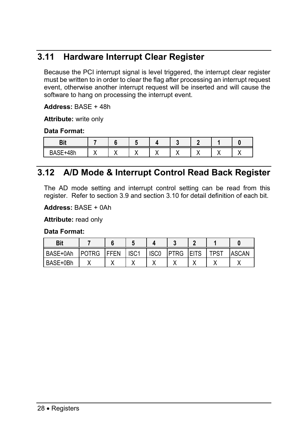# **3.11 Hardware Interrupt Clear Register**

Because the PCI interrupt signal is level triggered, the interrupt clear register must be written to in order to clear the flag after processing an interrupt request event, otherwise another interrupt request will be inserted and will cause the software to hang on processing the interrupt event.

#### **Address:** BASE + 48h

**Attribute:** write only

#### **Data Format:**

| . .<br>.                   |  |  |  |  |
|----------------------------|--|--|--|--|
| $\sim$<br>$\sim$<br>$\sim$ |  |  |  |  |

# **3.12 A/D Mode & Interrupt Control Read Back Register**

The AD mode setting and interrupt control setting can be read from this register. Refer to section 3.9 and section 3.10 for detail definition of each bit.

**Address:** BASE + 0Ah

**Attribute:** read only

#### **Data Format:**

| <b>Bit</b> |              |             |                  |                  |             |             |             |       |
|------------|--------------|-------------|------------------|------------------|-------------|-------------|-------------|-------|
| BASE+0Ah   | <b>POTRG</b> | <b>FFEN</b> | ISC <sub>1</sub> | ISC <sub>0</sub> | <b>PTRG</b> | <b>EITS</b> | <b>TPST</b> | ASCAN |
| BASE+0Bh   |              |             |                  |                  |             |             |             |       |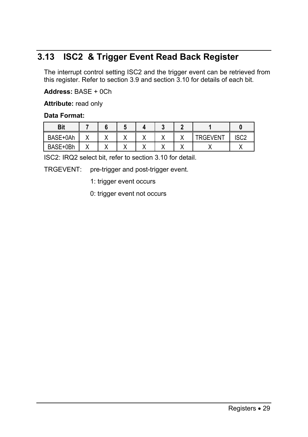# **3.13 ISC2 & Trigger Event Read Back Register**

The interrupt control setting ISC2 and the trigger event can be retrieved from this register. Refer to section 3.9 and section 3.10 for details of each bit.

#### **Address:** BASE + 0Ch

**Attribute:** read only

#### **Data Format:**

| <b>Bit</b> |    |  |    |                 |      |
|------------|----|--|----|-----------------|------|
| BASE+0Ah   |    |  |    | <b>TRGEVENT</b> | מחפו |
| BASE+0Bh   | ,, |  | ,, |                 |      |

ISC2: IRQ2 select bit, refer to section 3.10 for detail.

TRGEVENT: pre-trigger and post-trigger event.

1: trigger event occurs

0: trigger event not occurs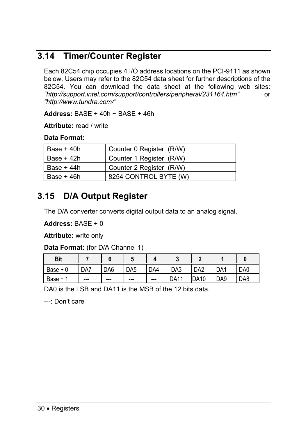# **3.14 Timer/Counter Register**

Each 82C54 chip occupies 4 I/O address locations on the PCI-9111 as shown below. Users may refer to the 82C54 data sheet for further descriptions of the 82C54. You can download the data sheet at the following web sites: *"http://support.intel.com/support/controllers/peripheral/231164.htm"* or *"http://www.tundra.com/"*

**Address:** BASE + 40h ~ BASE + 46h

**Attribute:** read / write

#### **Data Format:**

| Base + 40h  | Counter 0 Register (R/W) |
|-------------|--------------------------|
| Base + 42h  | Counter 1 Register (R/W) |
| Base + 44h  | Counter 2 Register (R/W) |
| Base $+46h$ | 8254 CONTROL BYTE (W)    |

# **3.15 D/A Output Register**

The D/A converter converts digital output data to an analog signal.

**Address:** BASE + 0

**Attribute:** write only

**Data Format:** (for D/A Channel 1)

| <b>Bit</b>  |     |                 |                 |     |                 |                 |                 |     |
|-------------|-----|-----------------|-----------------|-----|-----------------|-----------------|-----------------|-----|
| Base +<br>0 | DA7 | DA <sub>6</sub> | DA <sub>5</sub> | DA4 | DA <sub>3</sub> | DA <sub>2</sub> | DA1             | DA0 |
| Base +      | --- | $--$            | ---             | --- | <b>DA11</b>     | <b>IDA10</b>    | DA <sub>9</sub> | DA8 |

DA0 is the LSB and DA11 is the MSB of the 12 bits data.

---: Don't care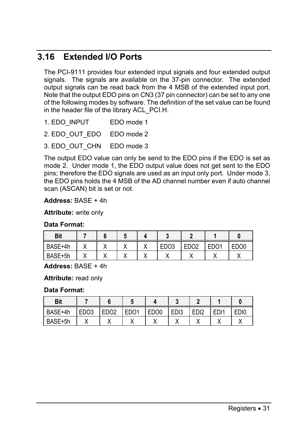# **3.16 Extended I/O Ports**

The PCI-9111 provides four extended input signals and four extended output signals. The signals are available on the 37-pin connector. The extended output signals can be read back from the 4 MSB of the extended input port. Note that the output EDO pins on CN3 (37 pin connector) can be set to any one of the following modes by software. The definition of the set value can be found in the header file of the library ACL\_PCI.H.

- 1. EDO INPUT EDO mode 1
- 2. EDO\_OUT\_EDO EDO mode 2
- 3. EDO OUT CHN EDO mode 3

The output EDO value can only be send to the EDO pins if the EDO is set as mode 2. Under mode 1, the EDO output value does not get sent to the EDO pins; therefore the EDO signals are used as an input only port. Under mode 3, the EDO pins holds the 4 MSB of the AD channel number even if auto channel scan (ASCAN) bit is set or not.

#### **Address:** BASE + 4h

**Attribute:** write only

#### **Data Format:**

| <b>Bit</b> |  |   |                  |                   |                   |             |
|------------|--|---|------------------|-------------------|-------------------|-------------|
| BASE+4h    |  | ↗ | EDO <sub>3</sub> | ED <sub>O</sub> 2 | ED <sub>O</sub> 1 | <b>FDO0</b> |
| BASE+5h    |  |   |                  |                   |                   |             |

**Address:** BASE + 4h

**Attribute:** read only

#### **Data Format:**

| Bit     |                  |                  |                   |                  |                  |                  |                  |      |
|---------|------------------|------------------|-------------------|------------------|------------------|------------------|------------------|------|
| BASE+4h | EDO <sub>3</sub> | ED <sub>O2</sub> | ED <sub>O</sub> 1 | EDO <sub>0</sub> | ED <sub>13</sub> | ED <sub>12</sub> | ED <sub>11</sub> | EDI0 |
| BASE+5h |                  |                  |                   |                  |                  |                  |                  |      |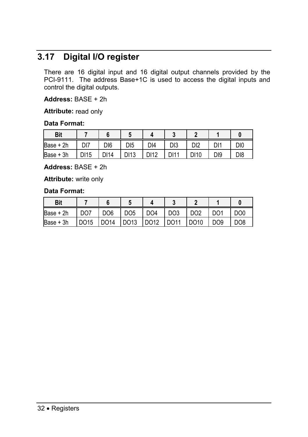# **3.17 Digital I/O register**

There are 16 digital input and 16 digital output channels provided by the PCI-9111. The address Base+1C is used to access the digital inputs and control the digital outputs.

**Address:** BASE + 2h

**Attribute:** read only

#### **Data Format:**

| <b>Bit</b>  |                 |      |      |      |                 |      |     |                 |
|-------------|-----------------|------|------|------|-----------------|------|-----|-----------------|
| Base + 2h   | D <sub>17</sub> | DI6  | DI5  | DI4  | D <sub>13</sub> | DI2  | Dŀ  | DI <sub>0</sub> |
| $Base + 3h$ | DI 15           | DI14 | DI13 | DI12 | DI11            | DI10 | DI9 | D <sub>18</sub> |

**Address:** BASE + 2h

**Attribute:** write only

#### **Data Format:**

| <b>Bit</b> |      |                 |                      |                 |                 |                 |                 |                 |
|------------|------|-----------------|----------------------|-----------------|-----------------|-----------------|-----------------|-----------------|
| Base + 2h  | DO7  | DO <sub>6</sub> | DO5                  | DO <sub>4</sub> | DO <sub>3</sub> | DO <sub>2</sub> | DO <sub>1</sub> | DO <sub>0</sub> |
| Base $+3h$ | DO15 | $1$ DO14        | $1$ DO <sub>13</sub> | <b>DO12</b>     | <b>DO11</b>     | DO10            | DO <sub>9</sub> | DO <sub>8</sub> |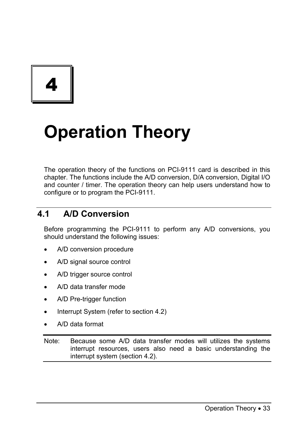4

# **Operation Theory**

The operation theory of the functions on PCI-9111 card is described in this chapter. The functions include the A/D conversion, D/A conversion, Digital I/O and counter / timer. The operation theory can help users understand how to configure or to program the PCI-9111.

# **4.1 A/D Conversion**

Before programming the PCI-9111 to perform any A/D conversions, you should understand the following issues:

- A/D conversion procedure
- A/D signal source control
- A/D trigger source control
- A/D data transfer mode
- A/D Pre-trigger function
- Interrupt System (refer to section 4.2)
- A/D data format

Note: Because some A/D data transfer modes will utilizes the systems interrupt resources, users also need a basic understanding the interrupt system (section 4.2).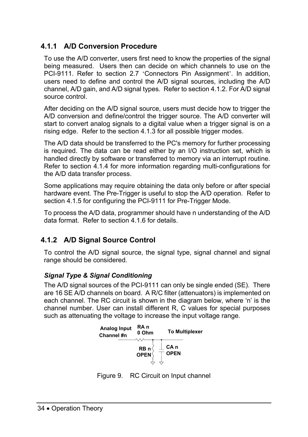# **4.1.1 A/D Conversion Procedure**

To use the A/D converter, users first need to know the properties of the signal being measured. Users then can decide on which channels to use on the PCI-9111. Refer to section 2.7 'Connectors Pin Assignment'. In addition, users need to define and control the A/D signal sources, including the A/D channel, A/D gain, and A/D signal types. Refer to section 4.1.2. For A/D signal source control.

After deciding on the A/D signal source, users must decide how to trigger the A/D conversion and define/control the trigger source. The A/D converter will start to convert analog signals to a digital value when a trigger signal is on a rising edge. Refer to the section 4.1.3 for all possible trigger modes.

The A/D data should be transferred to the PC's memory for further processing is required. The data can be read either by an I/O instruction set, which is handled directly by software or transferred to memory via an interrupt routine. Refer to section 4.1.4 for more information regarding multi-configurations for the A/D data transfer process.

Some applications may require obtaining the data only before or after special hardware event. The Pre-Trigger is useful to stop the A/D operation. Refer to section 4.1.5 for configuring the PCI-9111 for Pre-Trigger Mode.

To process the A/D data, programmer should have n understanding of the A/D data format. Refer to section 4.1.6 for details.

# **4.1.2 A/D Signal Source Control**

To control the A/D signal source, the signal type, signal channel and signal range should be considered.

### *Signal Type & Signal Conditioning*

The A/D signal sources of the PCI-9111 can only be single ended (SE). There are 16 SE A/D channels on board. A R/C filter (attenuators) is implemented on each channel. The RC circuit is shown in the diagram below, where 'n' is the channel number. User can install different R, C values for special purposes such as attenuating the voltage to increase the input voltage range.



Figure 9. RC Circuit on Input channel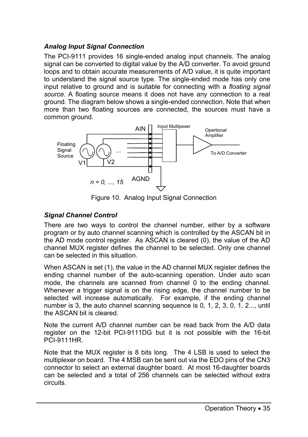### *Analog Input Signal Connection*

The PCI-9111 provides 16 single-ended analog input channels. The analog signal can be converted to digital value by the A/D converter. To avoid ground loops and to obtain accurate measurements of A/D value, it is quite important to understand the signal source type. The single-ended mode has only one input relative to ground and is suitable for connecting with a *floating signal source*. A floating source means it does not have any connection to a real ground. The diagram below shows a single-ended connection. Note that when more than two floating sources are connected, the sources must have a common ground.



Figure 10. Analog Input Signal Connection

### *Signal Channel Control*

There are two ways to control the channel number, either by a software program or by auto channel scanning which is controlled by the ASCAN bit in the AD mode control register. As ASCAN is cleared (0), the value of the AD channel MUX register defines the channel to be selected. Only one channel can be selected in this situation.

When ASCAN is set (1), the value in the AD channel MUX register defines the ending channel number of the auto-scanning operation. Under auto scan mode, the channels are scanned from channel 0 to the ending channel. Whenever a trigger signal is on the rising edge, the channel number to be selected will increase automatically. For example, if the ending channel number is 3, the auto channel scanning sequence is 0, 1, 2, 3, 0, 1, 2..., until the ASCAN bit is cleared.

Note the current A/D channel number can be read back from the A/D data register on the 12-bit PCI-9111DG but it is not possible with the 16-bit PCI-9111HR.

Note that the MUX register is 8 bits long. The 4 LSB is used to select the multiplexer on board. The 4 MSB can be sent out via the EDO pins of the CN3 connector to select an external daughter board. At most 16-daughter boards can be selected and a total of 256 channels can be selected without extra circuits.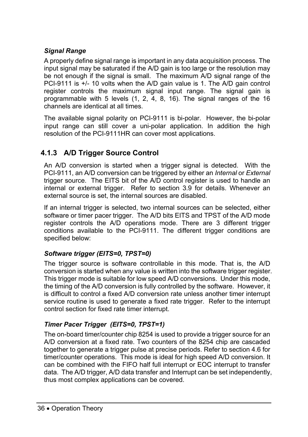# *Signal Range*

A properly define signal range is important in any data acquisition process. The input signal may be saturated if the A/D gain is too large or the resolution may be not enough if the signal is small. The maximum A/D signal range of the PCI-9111 is +/- 10 volts when the A/D gain value is 1. The A/D gain control register controls the maximum signal input range. The signal gain is programmable with 5 levels (1, 2, 4, 8, 16). The signal ranges of the 16 channels are identical at all times.

The available signal polarity on PCI-9111 is bi-polar. However, the bi-polar input range can still cover a uni-polar application. In addition the high resolution of the PCI-9111HR can cover most applications.

# **4.1.3 A/D Trigger Source Control**

An A/D conversion is started when a trigger signal is detected. With the PCI-9111, an A/D conversion can be triggered by either an *Internal* or *External* trigger source. The EITS bit of the A/D control register is used to handle an internal or external trigger. Refer to section 3.9 for details. Whenever an external source is set, the internal sources are disabled.

If an internal trigger is selected, two internal sources can be selected, either software or timer pacer trigger. The A/D bits EITS and TPST of the A/D mode register controls the A/D operations mode. There are 3 different trigger conditions available to the PCI-9111. The different trigger conditions are specified below:

### *Software trigger (EITS=0, TPST=0)*

The trigger source is software controllable in this mode. That is, the A/D conversion is started when any value is written into the software trigger register. This trigger mode is suitable for low speed A/D conversions. Under this mode, the timing of the A/D conversion is fully controlled by the software. However, it is difficult to control a fixed A/D conversion rate unless another timer interrupt service routine is used to generate a fixed rate trigger. Refer to the interrupt control section for fixed rate timer interrupt.

### *Timer Pacer Trigger (EITS=0, TPST=1)*

The on-board timer/counter chip 8254 is used to provide a trigger source for an A/D conversion at a fixed rate. Two counters of the 8254 chip are cascaded together to generate a trigger pulse at precise periods. Refer to section 4.6 for timer/counter operations. This mode is ideal for high speed A/D conversion. It can be combined with the FIFO half full interrupt or EOC interrupt to transfer data. The A/D trigger, A/D data transfer and Interrupt can be set independently, thus most complex applications can be covered.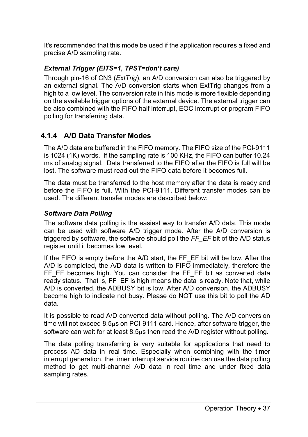It's recommended that this mode be used if the application requires a fixed and precise A/D sampling rate.

### *External Trigger (EITS=1, TPST=don't care)*

Through pin-16 of CN3 (*ExtTrig*), an A/D conversion can also be triggered by an external signal. The A/D conversion starts when ExtTrig changes from a high to a low level. The conversion rate in this mode is more flexible depending on the available trigger options of the external device. The external trigger can be also combined with the FIFO half interrupt, EOC interrupt or program FIFO polling for transferring data.

# **4.1.4 A/D Data Transfer Modes**

The A/D data are buffered in the FIFO memory. The FIFO size of the PCI-9111 is 1024 (1K) words. If the sampling rate is 100 KHz, the FIFO can buffer 10.24 ms of analog signal. Data transferred to the FIFO after the FIFO is full will be lost. The software must read out the FIFO data before it becomes full.

The data must be transferred to the host memory after the data is ready and before the FIFO is full. With the PCI-9111, Different transfer modes can be used. The different transfer modes are described below:

### *Software Data Polling*

The software data polling is the easiest way to transfer A/D data. This mode can be used with software A/D trigger mode. After the A/D conversion is triggered by software, the software should poll the *FF\_EF* bit of the A/D status register until it becomes low level.

If the FIFO is empty before the A/D start, the FF\_EF bit will be low. After the A/D is completed, the A/D data is written to FIFO immediately, therefore the FF\_EF\_becomes\_high. You can consider the FF\_EF\_bit as converted data ready status. That is, FF EF is high means the data is ready. Note that, while A/D is converted, the ADBUSY bit is low. After A/D conversion, the ADBUSY become high to indicate not busy. Please do NOT use this bit to poll the AD data.

It is possible to read A/D converted data without polling. The A/D conversion time will not exceed 8.5µs on PCI-9111 card. Hence, after software trigger, the software can wait for at least 8.5µs then read the A/D register without polling.

The data polling transferring is very suitable for applications that need to process AD data in real time. Especially when combining with the timer interrupt generation, the timer interrupt service routine can use the data polling method to get multi-channel A/D data in real time and under fixed data sampling rates.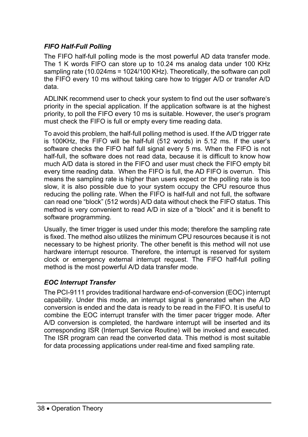### *FIFO Half-Full Polling*

The FIFO half-full polling mode is the most powerful AD data transfer mode. The 1 K words FIFO can store up to 10.24 ms analog data under 100 KHz sampling rate (10.024ms = 1024/100 KHz). Theoretically, the software can poll the FIFO every 10 ms without taking care how to trigger A/D or transfer A/D data.

ADLINK recommend user to check your system to find out the user software's priority in the special application. If the application software is at the highest priority, to poll the FIFO every 10 ms is suitable. However, the user's program must check the FIFO is full or empty every time reading data.

To avoid this problem, the half-full polling method is used. If the A/D trigger rate is 100KHz, the FIFO will be half-full (512 words) in 5.12 ms. If the user's software checks the FIFO half full signal every 5 ms. When the FIFO is not half-full, the software does not read data, because it is difficult to know how much A/D data is stored in the FIFO and user must check the FIFO empty bit every time reading data. When the FIFO is full, the AD FIFO is overrun. This means the sampling rate is higher than users expect or the polling rate is too slow, it is also possible due to your system occupy the CPU resource thus reducing the polling rate. When the FIFO is half-full and not full, the software can read one "block" (512 words) A/D data without check the FIFO status. This method is very convenient to read A/D in size of a "block" and it is benefit to software programming.

Usually, the timer trigger is used under this mode; therefore the sampling rate is fixed. The method also utilizes the minimum CPU resources because it is not necessary to be highest priority. The other benefit is this method will not use hardware interrupt resource. Therefore, the interrupt is reserved for system clock or emergency external interrupt request. The FIFO half-full polling method is the most powerful A/D data transfer mode.

### *EOC Interrupt Transfer*

The PCI-9111 provides traditional hardware end-of-conversion (EOC) interrupt capability. Under this mode, an interrupt signal is generated when the A/D conversion is ended and the data is ready to be read in the FIFO. It is useful to combine the EOC interrupt transfer with the timer pacer trigger mode. After A/D conversion is completed, the hardware interrupt will be inserted and its corresponding ISR (Interrupt Service Routine) will be invoked and executed. The ISR program can read the converted data. This method is most suitable for data processing applications under real-time and fixed sampling rate.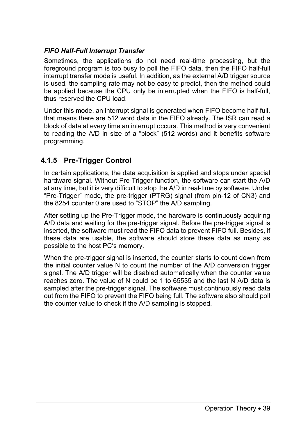### *FIFO Half-Full Interrupt Transfer*

Sometimes, the applications do not need real-time processing, but the foreground program is too busy to poll the FIFO data, then the FIFO half-full interrupt transfer mode is useful. In addition, as the external A/D trigger source is used, the sampling rate may not be easy to predict, then the method could be applied because the CPU only be interrupted when the FIFO is half-full, thus reserved the CPU load.

Under this mode, an interrupt signal is generated when FIFO become half-full, that means there are 512 word data in the FIFO already. The ISR can read a block of data at every time an interrupt occurs. This method is very convenient to reading the A/D in size of a "block" (512 words) and it benefits software programming.

# **4.1.5 Pre-Trigger Control**

In certain applications, the data acquisition is applied and stops under special hardware signal. Without Pre-Trigger function, the software can start the A/D at any time, but it is very difficult to stop the A/D in real-time by software. Under "Pre-Trigger" mode, the pre-trigger (PTRG) signal (from pin-12 of CN3) and the 8254 counter 0 are used to "STOP" the A/D sampling.

After setting up the Pre-Trigger mode, the hardware is continuously acquiring A/D data and waiting for the pre-trigger signal. Before the pre-trigger signal is inserted, the software must read the FIFO data to prevent FIFO full. Besides, if these data are usable, the software should store these data as many as possible to the host PC's memory.

When the pre-trigger signal is inserted, the counter starts to count down from the initial counter value N to count the number of the A/D conversion trigger signal. The A/D trigger will be disabled automatically when the counter value reaches zero. The value of N could be 1 to 65535 and the last N A/D data is sampled after the pre-trigger signal. The software must continuously read data out from the FIFO to prevent the FIFO being full. The software also should poll the counter value to check if the A/D sampling is stopped.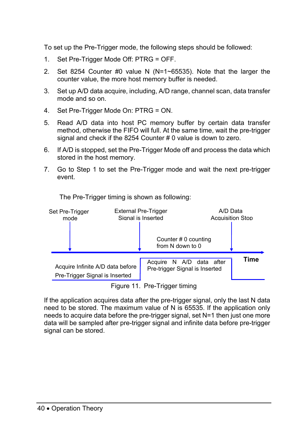To set up the Pre-Trigger mode, the following steps should be followed:

- 1. Set Pre-Trigger Mode Off: PTRG = OFF.
- 2. Set 8254 Counter  $#0$  value N (N=1~65535). Note that the larger the counter value, the more host memory buffer is needed.
- 3. Set up A/D data acquire, including, A/D range, channel scan, data transfer mode and so on.
- 4. Set Pre-Trigger Mode On: PTRG = ON.
- 5. Read A/D data into host PC memory buffer by certain data transfer method, otherwise the FIFO will full. At the same time, wait the pre-trigger signal and check if the 8254 Counter # 0 value is down to zero.
- 6. If A/D is stopped, set the Pre-Trigger Mode off and process the data which stored in the host memory.
- 7. Go to Step 1 to set the Pre-Trigger mode and wait the next pre-trigger event.



The Pre-Trigger timing is shown as following:

Figure 11. Pre-Trigger timing

If the application acquires data after the pre-trigger signal, only the last N data need to be stored. The maximum value of N is 65535. If the application only needs to acquire data before the pre-trigger signal, set N=1 then just one more data will be sampled after pre-trigger signal and infinite data before pre-trigger signal can be stored.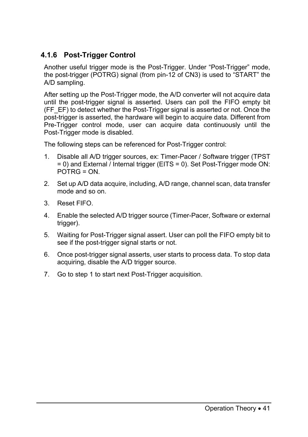# **4.1.6 Post-Trigger Control**

Another useful trigger mode is the Post-Trigger. Under "Post-Trigger" mode, the post-trigger (POTRG) signal (from pin-12 of CN3) is used to "START" the A/D sampling.

After setting up the Post-Trigger mode, the A/D converter will not acquire data until the post-trigger signal is asserted. Users can poll the FIFO empty bit (FF\_EF) to detect whether the Post-Trigger signal is asserted or not. Once the post-trigger is asserted, the hardware will begin to acquire data. Different from Pre-Trigger control mode, user can acquire data continuously until the Post-Trigger mode is disabled.

The following steps can be referenced for Post-Trigger control:

- 1. Disable all A/D trigger sources, ex: Timer-Pacer / Software trigger (TPST = 0) and External / Internal trigger (EITS = 0). Set Post-Trigger mode ON:  $POTRG = ON$
- 2. Set up A/D data acquire, including, A/D range, channel scan, data transfer mode and so on.
- 3. Reset FIFO.
- 4. Enable the selected A/D trigger source (Timer-Pacer, Software or external trigger).
- 5. Waiting for Post-Trigger signal assert. User can poll the FIFO empty bit to see if the post-trigger signal starts or not.
- 6. Once post-trigger signal asserts, user starts to process data. To stop data acquiring, disable the A/D trigger source.
- 7. Go to step 1 to start next Post-Trigger acquisition.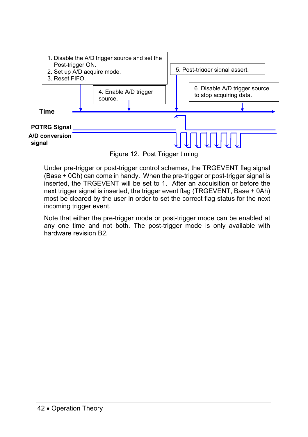

Figure 12. Post Trigger timing

Under pre-trigger or post-trigger control schemes, the TRGEVENT flag signal (Base + 0Ch) can come in handy. When the pre-trigger or post-trigger signal is inserted, the TRGEVENT will be set to 1. After an acquisition or before the next trigger signal is inserted, the trigger event flag (TRGEVENT, Base + 0Ah) most be cleared by the user in order to set the correct flag status for the next incoming trigger event.

Note that either the pre-trigger mode or post-trigger mode can be enabled at any one time and not both. The post-trigger mode is only available with hardware revision B2.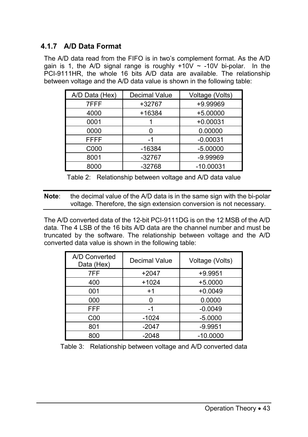# **4.1.7 A/D Data Format**

The A/D data read from the FIFO is in two's complement format. As the A/D gain is 1, the A/D signal range is roughly  $+10V \sim -10V$  bi-polar. In the PCI-9111HR, the whole 16 bits A/D data are available. The relationship between voltage and the A/D data value is shown in the following table:

| A/D Data (Hex) | Decimal Value | Voltage (Volts) |
|----------------|---------------|-----------------|
| 7FFF           | +32767        | +9.99969        |
| 4000           | +16384        | $+5.00000$      |
| 0001           |               | $+0.00031$      |
| 0000           | O             | 0.00000         |
| <b>FFFF</b>    | -1            | $-0.00031$      |
| C000           | -16384        | $-5.00000$      |
| 8001           | $-32767$      | $-9.99969$      |
| 8000           | $-32768$      | $-10.00031$     |

Table 2: Relationship between voltage and A/D data value

**Note**: the decimal value of the A/D data is in the same sign with the bi-polar voltage. Therefore, the sign extension conversion is not necessary.

The A/D converted data of the 12-bit PCI-9111DG is on the 12 MSB of the A/D data. The 4 LSB of the 16 bits A/D data are the channel number and must be truncated by the software. The relationship between voltage and the A/D converted data value is shown in the following table:

| A/D Converted<br>Data (Hex) | Decimal Value | Voltage (Volts) |
|-----------------------------|---------------|-----------------|
| 7FF                         | +2047         | $+9.9951$       |
| 400                         | $+1024$       | $+5.0000$       |
| 001                         | $+1$          | $+0.0049$       |
| 000                         | 0             | 0.0000          |
| <b>FFF</b>                  | -1            | $-0.0049$       |
| C <sub>0</sub>              | -1024         | $-5.0000$       |
| 801                         | $-2047$       | $-9.9951$       |
| 800                         | $-2048$       | $-10.0000$      |

Table 3: Relationship between voltage and A/D converted data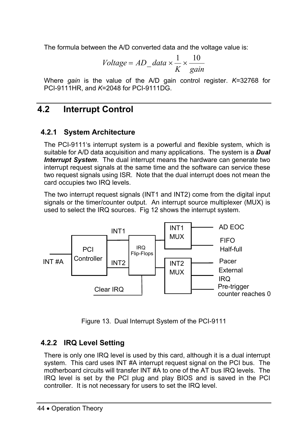The formula between the A/D converted data and the voltage value is:

$$
Voltage = AD\_data \times \frac{1}{K} \times \frac{10}{gain}
$$

Where *gain* is the value of the A/D gain control register. *K*=32768 for PCI-9111HR, and *K*=2048 for PCI-9111DG.

# **4.2 Interrupt Control**

# **4.2.1 System Architecture**

The PCI-9111's interrupt system is a powerful and flexible system, which is suitable for A/D data acquisition and many applications. The system is a *Dual Interrupt System.* The dual interrupt means the hardware can generate two interrupt request signals at the same time and the software can service these two request signals using ISR. Note that the dual interrupt does not mean the card occupies two IRQ levels.

The two interrupt request signals (INT1 and INT2) come from the digital input signals or the timer/counter output. An interrupt source multiplexer (MUX) is used to select the IRQ sources. Fig 12 shows the interrupt system.



Figure 13. Dual Interrupt System of the PCI-9111

# **4.2.2 IRQ Level Setting**

There is only one IRQ level is used by this card, although it is a dual interrupt system. This card uses INT #A interrupt request signal on the PCI bus. The motherboard circuits will transfer INT #A to one of the AT bus IRQ levels. The IRQ level is set by the PCI plug and play BIOS and is saved in the PCI controller. It is not necessary for users to set the IRQ level.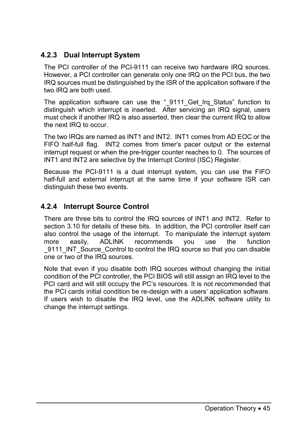# **4.2.3 Dual Interrupt System**

The PCI controller of the PCI-9111 can receive two hardware IRQ sources. However, a PCI controller can generate only one IRQ on the PCI bus, the two IRQ sources must be distinguished by the ISR of the application software if the two IRQ are both used.

The application software can use the " 9111 Get Irq Status" function to distinguish which interrupt is inserted. After servicing an IRQ signal, users must check if another IRQ is also asserted, then clear the current IRQ to allow the next IRQ to occur.

The two IRQs are named as INT1 and INT2. INT1 comes from AD EOC or the FIFO half-full flag. INT2 comes from timer's pacer output or the external interrupt request or when the pre-trigger counter reaches to 0. The sources of INT1 and INT2 are selective by the Interrupt Control (ISC) Register.

Because the PCI-9111 is a dual interrupt system, you can use the FIFO half-full and external interrupt at the same time if your software ISR can distinguish these two events.

### **4.2.4 Interrupt Source Control**

There are three bits to control the IRQ sources of INT1 and INT2. Refer to section 3.10 for details of these bits. In addition, the PCI controller itself can also control the usage of the interrupt. To manipulate the interrupt system more easily, ADLINK recommends you use the function \_9111\_INT\_Source\_Control to control the IRQ source so that you can disable one or two of the IRQ sources.

Note that even if you disable both IRQ sources without changing the initial condition of the PCI controller, the PCI BIOS will still assign an IRQ level to the PCI card and will still occupy the PC's resources. It is not recommended that the PCI cards initial condition be re-design with a users' application software. If users wish to disable the IRQ level, use the ADLINK software utility to change the interrupt settings.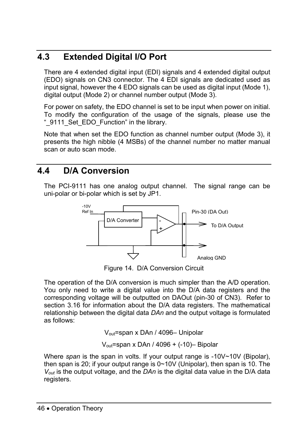# **4.3 Extended Digital I/O Port**

There are 4 extended digital input (EDI) signals and 4 extended digital output (EDO) signals on CN3 connector. The 4 EDI signals are dedicated used as input signal, however the 4 EDO signals can be used as digital input (Mode 1), digital output (Mode 2) or channel number output (Mode 3).

For power on safety, the EDO channel is set to be input when power on initial. To modify the configuration of the usage of the signals, please use the "\_9111\_Set\_EDO\_Function" in the library.

Note that when set the EDO function as channel number output (Mode 3), it presents the high nibble (4 MSBs) of the channel number no matter manual scan or auto scan mode.

# **4.4 D/A Conversion**

The PCI-9111 has one analog output channel. The signal range can be uni-polar or bi-polar which is set by JP1.



Figure 14. D/A Conversion Circuit

The operation of the D/A conversion is much simpler than the A/D operation. You only need to write a digital value into the D/A data registers and the corresponding voltage will be outputted on DAOut (pin-30 of CN3). Refer to section 3.16 for information about the D/A data registers. The mathematical relationship between the digital data *DAn* and the output voltage is formulated as follows:

Vout=span x DAn / 4096– Unipolar

Vout=span x DAn / 4096 + (-10)– Bipolar

Where *span* is the span in volts. If your output range is -10V~10V (Bipolar), then span is 20; if your output range is  $0 \sim 10V$  (Unipolar), then span is 10. The *Vout* is the output voltage, and the *DAn* is the digital data value in the D/A data registers.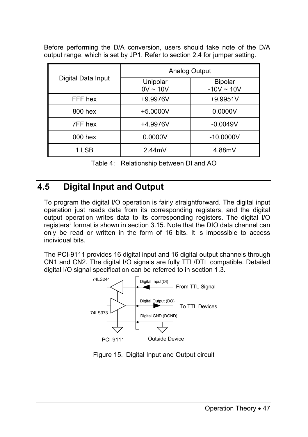Before performing the D/A conversion, users should take note of the D/A output range, which is set by JP1. Refer to section 2.4 for jumper setting.

| Digital Data Input | Analog Output             |                                   |
|--------------------|---------------------------|-----------------------------------|
|                    | Unipolar<br>$0V \sim 10V$ | <b>Bipolar</b><br>$-10V \sim 10V$ |
| FFF hex            | +9.9976V                  | $+9.9951V$                        |
| 800 hex            | +5.0000V                  | 0.0000V                           |
| 7FF hex            | +4.9976V                  | $-0.0049V$                        |
| 000 hex            | 0.0000V                   | $-10.0000V$                       |
| 1 LSB              | 2.44mV                    | 4.88mV                            |

Table 4: Relationship between DI and AO

# **4.5 Digital Input and Output**

To program the digital I/O operation is fairly straightforward. The digital input operation just reads data from its corresponding registers, and the digital output operation writes data to its corresponding registers. The digital I/O registers' format is shown in section 3.15. Note that the DIO data channel can only be read or written in the form of 16 bits. It is impossible to access individual bits.

The PCI-9111 provides 16 digital input and 16 digital output channels through CN1 and CN2. The digital I/O signals are fully TTL/DTL compatible. Detailed digital I/O signal specification can be referred to in section 1.3.



Figure 15. Digital Input and Output circuit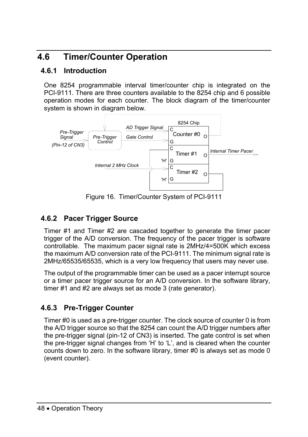# **4.6 Timer/Counter Operation**

# **4.6.1 Introduction**

One 8254 programmable interval timer/counter chip is integrated on the PCI-9111. There are three counters available to the 8254 chip and 6 possible operation modes for each counter. The block diagram of the timer/counter system is shown in diagram below.



Figure 16. Timer/Counter System of PCI-9111

# **4.6.2 Pacer Trigger Source**

Timer #1 and Timer #2 are cascaded together to generate the timer pacer trigger of the A/D conversion. The frequency of the pacer trigger is software controllable. The maximum pacer signal rate is 2MHz/4=500K which excess the maximum A/D conversion rate of the PCI-9111. The minimum signal rate is 2MHz/65535/65535, which is a very low frequency that users may never use.

The output of the programmable timer can be used as a pacer interrupt source or a timer pacer trigger source for an A/D conversion. In the software library, timer #1 and #2 are always set as mode 3 (rate generator).

# **4.6.3 Pre-Trigger Counter**

Timer #0 is used as a pre-trigger counter. The clock source of counter 0 is from the A/D trigger source so that the 8254 can count the A/D trigger numbers after the pre-trigger signal (pin-12 of CN3) is inserted. The gate control is set when the pre-trigger signal changes from 'H' to 'L', and is cleared when the counter counts down to zero. In the software library, timer #0 is always set as mode 0 (event counter).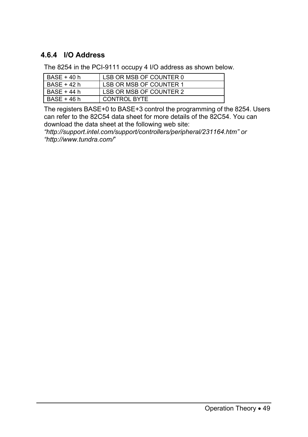# **4.6.4 I/O Address**

The 8254 in the PCI-9111 occupy 4 I/O address as shown below.

| $BASE + 40 h$ | LSB OR MSB OF COUNTER 0 |
|---------------|-------------------------|
| BASE + 42 h   | LSB OR MSB OF COUNTER 1 |
| BASE + 44 h   | LSB OR MSB OF COUNTER 2 |
| BASE + 46 h   | CONTROL BYTE            |

The registers BASE+0 to BASE+3 control the programming of the 8254. Users can refer to the 82C54 data sheet for more details of the 82C54. You can download the data sheet at the following web site:

*"http://support.intel.com/support/controllers/peripheral/231164.htm" or "http://www.tundra.com/*"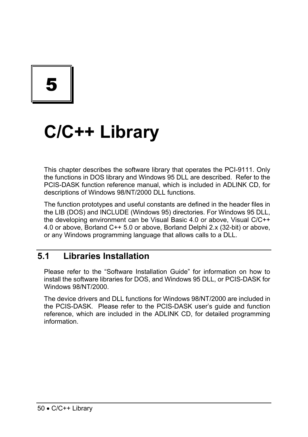5

# **C/C++ Library**

This chapter describes the software library that operates the PCI-9111. Only the functions in DOS library and Windows 95 DLL are described. Refer to the PCIS-DASK function reference manual, which is included in ADLINK CD, for descriptions of Windows 98/NT/2000 DLL functions

The function prototypes and useful constants are defined in the header files in the LIB (DOS) and INCLUDE (Windows 95) directories. For Windows 95 DLL, the developing environment can be Visual Basic 4.0 or above, Visual C/C++ 4.0 or above, Borland C++ 5.0 or above, Borland Delphi 2.x (32-bit) or above, or any Windows programming language that allows calls to a DLL.

# **5.1 Libraries Installation**

Please refer to the "Software Installation Guide" for information on how to install the software libraries for DOS, and Windows 95 DLL, or PCIS-DASK for Windows 98/NT/2000.

The device drivers and DLL functions for Windows 98/NT/2000 are included in the PCIS-DASK. Please refer to the PCIS-DASK user's guide and function reference, which are included in the ADLINK CD, for detailed programming information.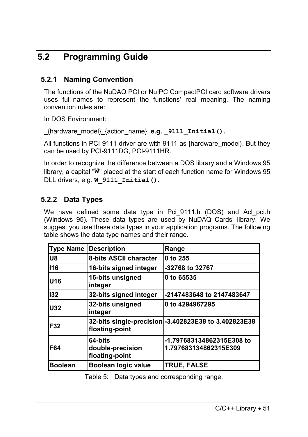# **5.2 Programming Guide**

# **5.2.1 Naming Convention**

The functions of the NuDAQ PCI or NuIPC CompactPCI card software drivers uses full-names to represent the functions' real meaning. The naming convention rules are:

In DOS Environment:

\_{hardware\_model}\_{action\_name}. **e.g. \_9111\_Initial().** 

All functions in PCI-9111 driver are with 9111 as {hardware\_model}. But they can be used by PCI-9111DG, PCI-9111HR.

In order to recognize the difference between a DOS library and a Windows 95 library, a capital "**W**" placed at the start of each function name for Windows 95 DLL drivers, e.g. **W\_9111\_Initial().** 

# **5.2.2 Data Types**

We have defined some data type in Pci 9111.h (DOS) and Acl pci.h (Windows 95). These data types are used by NuDAQ Cards' library. We suggest you use these data types in your application programs. The following table shows the data type names and their range.

| <b>Type Name</b> | <b>Description</b>                            | Range                                                 |
|------------------|-----------------------------------------------|-------------------------------------------------------|
| lU8              | 8-bits ASCII character                        | 0 to 255                                              |
| <b>I16</b>       | 16-bits signed integer                        | -32768 to 32767                                       |
| <b>U16</b>       | 16-bits unsigned<br>integer                   | 0 to 65535                                            |
| 132              | 32-bits signed integer                        | -2147483648 to 2147483647                             |
| <b>U32</b>       | 32-bits unsigned<br>integer                   | 0 to 4294967295                                       |
| <b>F32</b>       | floating-point                                | 32-bits single-precision - 3.402823E38 to 3.402823E38 |
| IF64             | 64-bits<br>double-precision<br>floating-point | -1.797683134862315E308 to<br>1.797683134862315E309    |
| <b>Boolean</b>   | Boolean logic value                           | <b>TRUE, FALSE</b>                                    |

Table 5: Data types and corresponding range.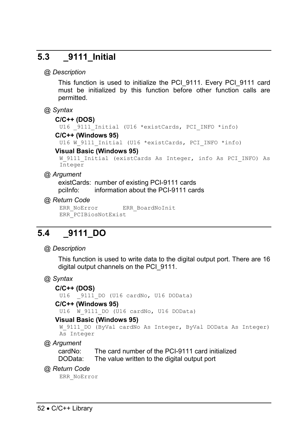# **5.3 \_9111\_Initial**

#### *@ Description*

This function is used to initialize the PCI 9111. Every PCI 9111 card must be initialized by this function before other function calls are permitted.

*@ Syntax* 

#### **C/C++ (DOS)**

U16 9111 Initial (U16 \*existCards, PCI INFO \*info)

#### **C/C++ (Windows 95)**

U16 W 9111 Initial (U16 \*existCards, PCI INFO \*info)

#### **Visual Basic (Windows 95)**

W 9111 Initial (existCards As Integer, info As PCI INFO) As Integer

#### *@ Argument*

existCards: number of existing PCI-9111 cards pciInfo: information about the PCI-9111 cards

#### *@ Return Code*

ERR\_NoError ERR\_BoardNoInit ERR\_PCIBiosNotExist

# **5.4 \_9111\_DO**

#### *@ Description*

This function is used to write data to the digital output port. There are 16 digital output channels on the PCI\_9111.

```
@ Syntax
```
#### **C/C++ (DOS)**

U16 9111 DO (U16 cardNo, U16 DOData)

#### **C/C++ (Windows 95)**

U16 W 9111 DO (U16 cardNo, U16 DOData)

#### **Visual Basic (Windows 95)**

```
W 9111 DO (ByVal cardNo As Integer, ByVal DOData As Integer)
As Integer
```
*@ Argument* 

```
cardNo: The card number of the PCI-9111 card initialized 
DOData: The value written to the digital output port
```
*@ Return Code*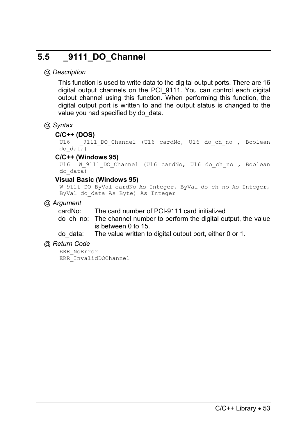# **5.5 \_9111\_DO\_Channel**

### *@ Description*

This function is used to write data to the digital output ports. There are 16 digital output channels on the PCI\_9111. You can control each digital output channel using this function. When performing this function, the digital output port is written to and the output status is changed to the value you had specified by do data.

#### *@ Syntax*

#### **C/C++ (DOS)**

U16 9111 DO Channel (U16 cardNo, U16 do ch no , Boolean do\_data)

# **C/C++ (Windows 95)**<br>U16 **W** 9111 DO CP

W 9111 DO Channel (U16 cardNo, U16 do ch no , Boolean do\_data)

#### **Visual Basic (Windows 95)**

W\_9111\_DO\_ByVal cardNo As Integer, ByVal do ch\_no As Integer, ByVal do\_data As Byte) As Integer

#### *@ Argument*

cardNo: The card number of PCI-9111 card initialized

do\_ch\_no: The channel number to perform the digital output, the value is between 0 to 15.

do\_data: The value written to digital output port, either 0 or 1.

#### *@ Return Code*

ERR\_NoError ERR\_InvalidDOChannel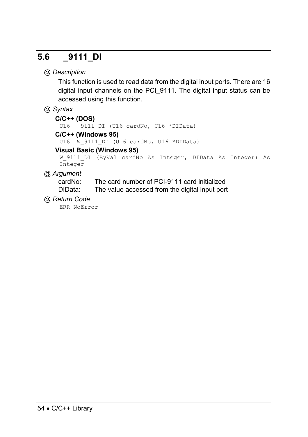# **5.6 \_9111\_DI**

## *@ Description*

This function is used to read data from the digital input ports. There are 16 digital input channels on the PCI\_9111. The digital input status can be accessed using this function.

### *@ Syntax*

```
C/C++ (DOS)
```
U16 9111 DI (U16 cardNo, U16 \*DIData)

#### **C/C++ (Windows 95)**

U16 W 9111 DI (U16 cardNo, U16 \*DIData)

#### **Visual Basic (Windows 95)**

W 9111 DI (ByVal cardNo As Integer, DIData As Integer) As Integer

### *@ Argument*

cardNo: The card number of PCI-9111 card initialized DIData: The value accessed from the digital input port

### *@ Return Code*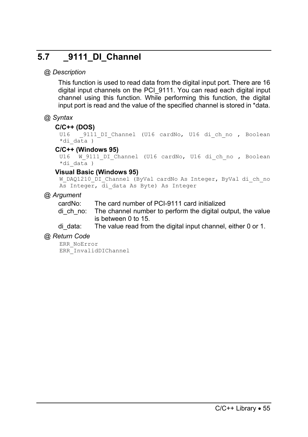# **5.7 \_9111\_DI\_Channel**

### *@ Description*

This function is used to read data from the digital input port. There are 16 digital input channels on the PCI\_9111. You can read each digital input channel using this function. While performing this function, the digital input port is read and the value of the specified channel is stored in \*data.

### *@ Syntax*

#### **C/C++ (DOS)**

```
U16 9111 DI Channel (U16 cardNo, U16 di ch no , Boolean
*di data)
```
#### **C/C++ (Windows 95)**

```
U16 W 9111 DI Channel (U16 cardNo, U16 di ch no , Boolean
*di data)
```
#### **Visual Basic (Windows 95)**

```
W_DAQ1210_DI_Channel (ByVal cardNo As Integer, ByVal di_ch_no
As Integer, di data As Byte) As Integer
```
#### *@ Argument*

cardNo: The card number of PCI-9111 card initialized

di ch\_no: The channel number to perform the digital output, the value is between 0 to 15.

di data: The value read from the digital input channel, either 0 or 1.

#### *@ Return Code*

```
ERR_NoError 
ERR_InvalidDIChannel
```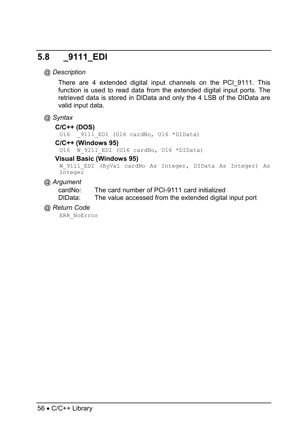# **5.8 \_9111\_EDI**

#### *@ Description*

There are 4 extended digital input channels on the PCI\_9111. This function is used to read data from the extended digital input ports. The retrieved data is stored in DIData and only the 4 LSB of the DIData are valid input data.

#### *@ Syntax*

#### **C/C++ (DOS)**

U16 9111 EDI (U16 cardNo, U16 \*DIData)

#### **C/C++ (Windows 95)**

U16 W 9111 EDI (U16 cardNo, U16 \*DIData)

#### **Visual Basic (Windows 95)**

W 9111 EDI (ByVal cardNo As Integer, DIData As Integer) As Integer

#### *@ Argument*

cardNo: The card number of PCI-9111 card initialized

DIData: The value accessed from the extended digital input port

#### *@ Return Code*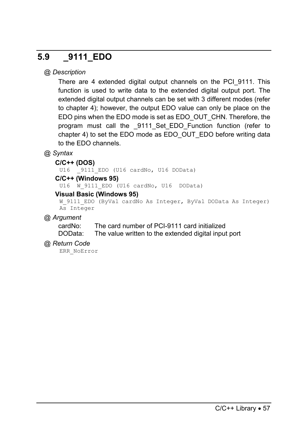# **5.9 \_9111\_EDO**

### *@ Description*

There are 4 extended digital output channels on the PCI\_9111. This function is used to write data to the extended digital output port. The extended digital output channels can be set with 3 different modes (refer to chapter 4); however, the output EDO value can only be place on the EDO pins when the EDO mode is set as EDO\_OUT\_CHN. Therefore, the program must call the 9111 Set EDO Function function (refer to chapter 4) to set the EDO mode as EDO\_OUT\_EDO before writing data to the EDO channels.

### *@ Syntax*

#### **C/C++ (DOS)**

U16 9111 EDO (U16 cardNo, U16 DOData)

#### **C/C++ (Windows 95)**

U16 W 9111 EDO (U16 cardNo, U16 DOData)

#### **Visual Basic (Windows 95)**

```
W_9111_EDO (ByVal cardNo As Integer, ByVal DOData As Integer)
As Integer
```
#### *@ Argument*

cardNo: The card number of PCI-9111 card initialized DOData: The value written to the extended digital input port

#### *@ Return Code*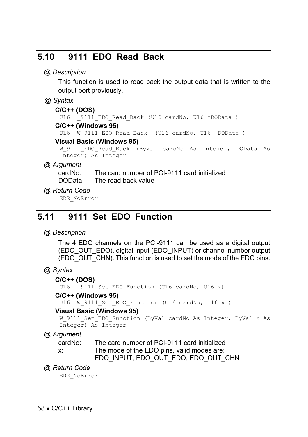# **5.10 \_9111\_EDO\_Read\_Back**

#### *@ Description*

This function is used to read back the output data that is written to the output port previously.

#### *@ Syntax*

#### **C/C++ (DOS)**

U16 9111 EDO Read Back (U16 cardNo, U16 \*DOData )

#### **C/C++ (Windows 95)**

U16 W 9111 EDO Read Back (U16 cardNo, U16 \*DOData )

#### **Visual Basic (Windows 95)**

```
W 9111 EDO Read Back (ByVal cardNo As Integer, DOData As
Integer) As Integer
```
#### *@ Argument*

cardNo: The card number of PCI-9111 card initialized DOData: The read back value

#### *@ Return Code*

ERR\_NoError

# **5.11 \_9111\_Set\_EDO\_Function**

#### *@ Description*

The 4 EDO channels on the PCI-9111 can be used as a digital output (EDO\_OUT\_EDO), digital input (EDO\_INPUT) or channel number output (EDO\_OUT\_CHN). This function is used to set the mode of the EDO pins.

### *@ Syntax*

#### **C/C++ (DOS)**

U16 9111 Set EDO Function (U16 cardNo, U16 x)

#### **C/C++ (Windows 95)**

U16 W 9111 Set EDO Function (U16 cardNo, U16 x )

#### **Visual Basic (Windows 95)**

```
W 9111 Set EDO Function (ByVal cardNo As Integer, ByVal x As
Integer) As Integer
```
### *@ Argument*

| cardNo: | The card number of PCI-9111 card initialized |
|---------|----------------------------------------------|
| X.      | The mode of the EDO pins, valid modes are:   |
|         | EDO INPUT, EDO OUT EDO, EDO OUT CHN          |

#### *@ Return Code*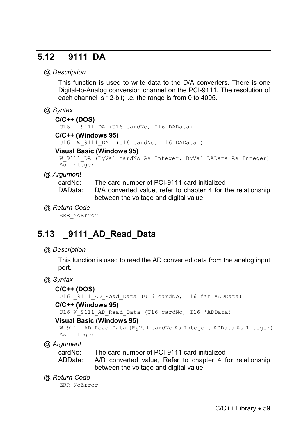# **5.12 \_9111\_DA**

#### *@ Description*

This function is used to write data to the D/A converters. There is one Digital-to-Analog conversion channel on the PCI-9111. The resolution of each channel is 12-bit; i.e. the range is from 0 to 4095.

#### *@ Syntax*

#### **C/C++ (DOS)**

U16 9111 DA (U16 cardNo, I16 DAData)

#### **C/C++ (Windows 95)**

U16 W 9111 DA (U16 cardNo, I16 DAData )

#### **Visual Basic (Windows 95)**

W 9111 DA (ByVal cardNo As Integer, ByVal DAData As Integer) As Integer

### *@ Argument*

cardNo: The card number of PCI-9111 card initialized

DAData: D/A converted value, refer to chapter 4 for the relationship between the voltage and digital value

#### *@ Return Code*

ERR\_NoError

# **5.13 \_9111\_AD\_Read\_Data**

### *@ Description*

This function is used to read the AD converted data from the analog input port.

### *@ Syntax*

### **C/C++ (DOS)**

U16 9111 AD Read Data (U16 cardNo, I16 far \*ADData)

### **C/C++ (Windows 95)**

U16 W 9111 AD Read Data (U16 cardNo, I16 \*ADData)

### **Visual Basic (Windows 95)**

```
W_9111_AD_Read_Data (ByVal cardNo As Integer, ADData As Integer)
As Integer
```
*@ Argument* 

cardNo: The card number of PCI-9111 card initialized

ADData: A/D converted value, Refer to chapter 4 for relationship between the voltage and digital value

### *@ Return Code*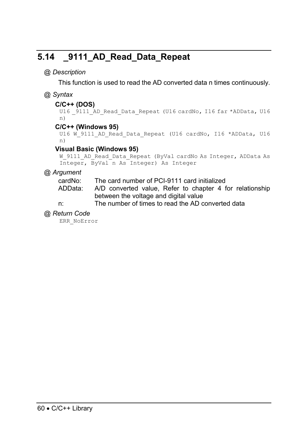# **5.14 \_9111\_AD\_Read\_Data\_Repeat**

### *@ Description*

This function is used to read the AD converted data n times continuously.

### *@ Syntax*

#### **C/C++ (DOS)**

U16 9111 AD Read Data Repeat (U16 cardNo, I16 far \*ADData, U16 n)

#### **C/C++ (Windows 95)**

```
U16 W 9111 AD Read Data Repeat (U16 cardNo, I16 *ADData, U16
n)
```
#### **Visual Basic (Windows 95)**

```
W_9111_AD_Read_Data_Repeat (ByVal cardNo As Integer, ADData As
Integer, ByVal n As Integer) As Integer
```
### *@ Argument*

cardNo: The card number of PCI-9111 card initialized

- ADData: A/D converted value, Refer to chapter 4 for relationship between the voltage and digital value
- n: The number of times to read the AD converted data

#### *@ Return Code*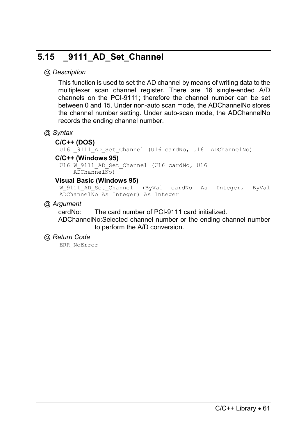# **5.15 \_9111\_AD\_Set\_Channel**

### *@ Description*

This function is used to set the AD channel by means of writing data to the multiplexer scan channel register. There are 16 single-ended A/D channels on the PCI-9111; therefore the channel number can be set between 0 and 15. Under non-auto scan mode, the ADChannelNo stores the channel number setting. Under auto-scan mode, the ADChannelNo records the ending channel number.

#### *@ Syntax*

#### **C/C++ (DOS)**

U16 9111 AD Set Channel (U16 cardNo, U16 ADChannelNo)

#### **C/C++ (Windows 95)**

U16 W 9111 AD Set Channel (U16 cardNo, U16 ADChannelNo)

#### **Visual Basic (Windows 95)**

W\_9111\_AD\_Set\_Channel (ByVal cardNo As Integer, ByVal ADChannelNo As Integer) As Integer

#### *@ Argument*

cardNo: The card number of PCI-9111 card initialized.

ADChannelNo:Selected channel number or the ending channel number to perform the A/D conversion.

#### *@ Return Code*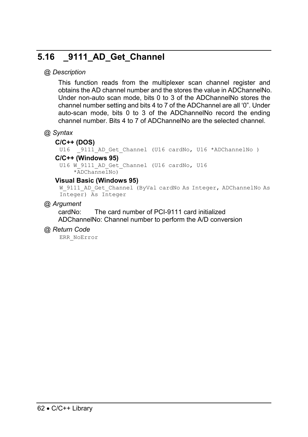# **5.16 \_9111\_AD\_Get\_Channel**

#### *@ Description*

This function reads from the multiplexer scan channel register and obtains the AD channel number and the stores the value in ADChannelNo. Under non-auto scan mode, bits  $0$  to 3 of the ADChannelNo stores the channel number setting and bits 4 to 7 of the ADChannel are all '0". Under auto-scan mode, bits 0 to 3 of the ADChannelNo record the ending channel number. Bits 4 to 7 of ADChannelNo are the selected channel.

#### *@ Syntax*

#### **C/C++ (DOS)**

U16 9111 AD Get Channel (U16 cardNo, U16 \*ADChannelNo )

#### **C/C++ (Windows 95)**

U16 W 9111 AD Get Channel (U16 cardNo, U16 \*ADChannelNo)

#### **Visual Basic (Windows 95)**

W\_9111\_AD\_Get\_Channel (ByVal cardNo As Integer, ADChannelNo As Integer) As Integer

#### *@ Argument*

cardNo: The card number of PCI-9111 card initialized ADChannelNo: Channel number to perform the A/D conversion

#### *@ Return Code*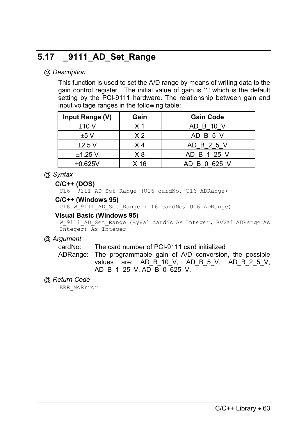# **5.17 \_9111\_AD\_Set\_Range**

# *@ Description*

This function is used to set the A/D range by means of writing data to the gain control register. The initial value of gain is '1' which is the default setting by the PCI-9111 hardware. The relationship between gain and input voltage ranges in the following table:

| Input Range (V) | Gain           | <b>Gain Code</b> |
|-----------------|----------------|------------------|
| ±10V            | X 1            | AD B 10 V        |
| ±5V             | X <sub>2</sub> | AD B 5 V         |
| $\pm 2.5$ V     | X 4            | AD B 2 5 V       |
| $±1.25$ V       | X 8            | AD B 1 25 V      |
| $\pm 0.625V$    | X 16           | AD B 0 625 V     |

## *@ Syntax*

#### **C/C++ (DOS)**

U16 9111 AD Set Range (U16 cardNo, U16 ADRange)

#### **C/C++ (Windows 95)**

U16 W 9111 AD Set Range (U16 cardNo, U16 ADRange)

#### **Visual Basic (Windows 95)**

W\_9111\_AD\_Set\_Range (ByVal cardNo As Integer, ByVal ADRange As Integer) As Integer

#### *@ Argument*

cardNo: The card number of PCI-9111 card initialized

ADRange: The programmable gain of A/D conversion, the possible values are: AD\_B\_10\_V, AD\_B\_5\_V, AD\_B\_2\_5\_V, AD\_B\_1\_25\_V, AD\_B\_0\_625\_V.

#### *@ Return Code*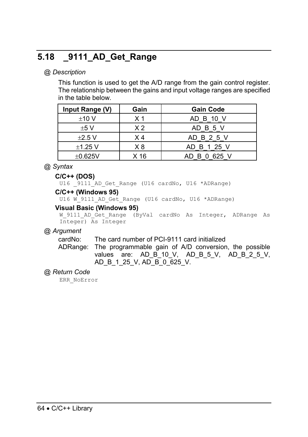# **5.18 \_9111\_AD\_Get\_Range**

# *@ Description*

This function is used to get the A/D range from the gain control register. The relationship between the gains and input voltage ranges are specified in the table below.

| Input Range (V) | Gain | <b>Gain Code</b> |
|-----------------|------|------------------|
| ±10V            | X 1  | AD B 10 V        |
| $+5V$           | X 2  | AD B 5 V         |
| $\pm 2.5$ V     | X 4  | AD B 2 5 V       |
| $\pm$ 1.25 V    | X8   | AD B 1 25 V      |
| $\pm 0.625V$    | X 16 | AD B 0 625 V     |

## *@ Syntax*

#### **C/C++ (DOS)**

U16 9111 AD Get Range (U16 cardNo, U16 \*ADRange)

#### **C/C++ (Windows 95)**

U16 W 9111 AD Get Range (U16 cardNo, U16 \*ADRange)

#### **Visual Basic (Windows 95)**

W 9111 AD Get Range (ByVal cardNo As Integer, ADRange As Integer) As Integer

#### *@ Argument*

cardNo: The card number of PCI-9111 card initialized

ADRange: The programmable gain of A/D conversion, the possible values are: AD\_B\_10\_V, AD\_B\_5\_V, AD\_B\_2\_5\_V, AD\_B\_1\_25\_V, AD\_B\_0\_625\_V.

#### *@ Return Code*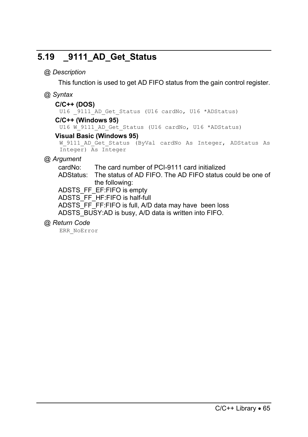# **5.19 \_9111\_AD\_Get\_Status**

# *@ Description*

This function is used to get AD FIFO status from the gain control register.

## *@ Syntax*

#### **C/C++ (DOS)**

U16 9111 AD Get Status (U16 cardNo, U16 \*ADStatus)

## **C/C++ (Windows 95)**

U16 W 9111 AD Get Status (U16 cardNo, U16 \*ADStatus)

#### **Visual Basic (Windows 95)**

```
W 9111 AD Get Status (ByVal cardNo As Integer, ADStatus As
Integer) As Integer
```
# *@ Argument*

cardNo: The card number of PCI-9111 card initialized

ADStatus: The status of AD FIFO. The AD FIFO status could be one of the following:

ADSTS\_FF\_EF:FIFO is empty

ADSTS\_FF\_HF:FIFO is half-full

ADSTS\_FF\_FF:FIFO is full, A/D data may have been loss ADSTS BUSY:AD is busy, A/D data is written into FIFO.

# *@ Return Code*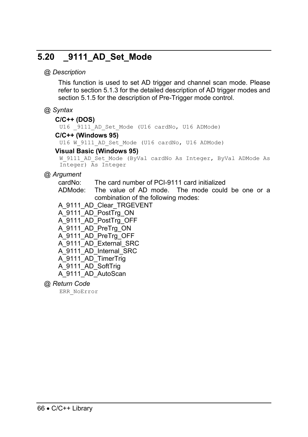# **5.20 \_9111\_AD\_Set\_Mode**

#### *@ Description*

This function is used to set AD trigger and channel scan mode. Please refer to section 5.1.3 for the detailed description of AD trigger modes and section 5.1.5 for the description of Pre-Trigger mode control.

#### *@ Syntax*

#### **C/C++ (DOS)**

U16 9111 AD Set Mode (U16 cardNo, U16 ADMode)

#### **C/C++ (Windows 95)**

U16 W 9111 AD Set Mode (U16 cardNo, U16 ADMode)

#### **Visual Basic (Windows 95)**

W 9111 AD Set Mode (ByVal cardNo As Integer, ByVal ADMode As Integer) As Integer

## *@ Argument*

cardNo: The card number of PCI-9111 card initialized

ADMode: The value of AD mode. The mode could be one or a combination of the following modes:

- A\_9111\_AD\_Clear\_TRGEVENT
- A\_9111\_AD\_PostTrg\_ON
- A\_9111\_AD\_PostTrg\_OFF
- A\_9111\_AD\_PreTrg\_ON
- A\_9111\_AD\_PreTrg\_OFF
- A\_9111\_AD\_External\_SRC
- A\_9111\_AD\_Internal\_SRC
- A\_9111\_AD\_TimerTrig
- A\_9111\_AD\_SoftTrig
- A\_9111\_AD\_AutoScan
- *@ Return Code*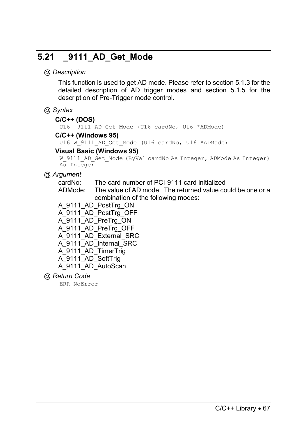# **5.21 \_9111\_AD\_Get\_Mode**

# *@ Description*

This function is used to get AD mode. Please refer to section 5.1.3 for the detailed description of AD trigger modes and section 5.1.5 for the description of Pre-Trigger mode control.

# *@ Syntax*

#### **C/C++ (DOS)**

U16 9111 AD Get Mode (U16 cardNo, U16 \*ADMode)

#### **C/C++ (Windows 95)**

U16 W 9111 AD Get Mode (U16 cardNo, U16 \*ADMode)

#### **Visual Basic (Windows 95)**

W\_9111\_AD\_Get\_Mode (ByVal cardNo As Integer, ADMode As Integer) As Integer

# *@ Argument*

cardNo: The card number of PCI-9111 card initialized

- ADMode: The value of AD mode. The returned value could be one or a combination of the following modes:
- A\_9111\_AD\_PostTrg\_ON
- A\_9111\_AD\_PostTrg\_OFF
- A\_9111\_AD\_PreTrg\_ON
- A\_9111\_AD\_PreTrg\_OFF
- A\_9111\_AD\_External\_SRC
- A\_9111\_AD\_Internal\_SRC
- A\_9111\_AD\_TimerTrig
- A\_9111\_AD\_SoftTrig
- A 9111 AD AutoScan
- *@ Return Code*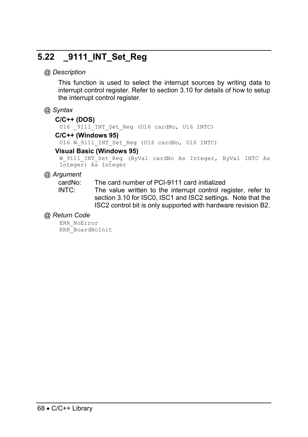# **5.22 \_9111\_INT\_Set\_Reg**

#### *@ Description*

This function is used to select the interrupt sources by writing data to interrupt control register. Refer to section 3.10 for details of how to setup the interrupt control register.

#### *@ Syntax*

#### **C/C++ (DOS)**

U16 9111 INT Set Reg (U16 cardNo, U16 INTC)

#### **C/C++ (Windows 95)**

U16 W 9111 INT Set Reg (U16 cardNo, U16 INTC)

#### **Visual Basic (Windows 95)**

W 9111 INT Set Reg (ByVal cardNo As Integer, ByVal INTC As Integer) As Integer

#### *@ Argument*

cardNo: The card number of PCI-9111 card initialized

INTC: The value written to the interrupt control register, refer to section 3.10 for ISC0, ISC1 and ISC2 settings. Note that the ISC2 control bit is only supported with hardware revision B2.

#### *@ Return Code*

ERR\_NoError ERR\_BoardNoInit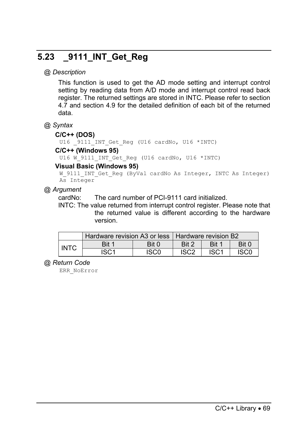# **5.23 \_9111\_INT\_Get\_Reg**

# *@ Description*

This function is used to get the AD mode setting and interrupt control setting by reading data from A/D mode and interrupt control read back register. The returned settings are stored in INTC. Please refer to section 4.7 and section 4.9 for the detailed definition of each bit of the returned data.

*@ Syntax*

#### **C/C++ (DOS)**

U16 9111 INT Get Reg (U16 cardNo, U16 \*INTC)

#### **C/C++ (Windows 95)**

U16 W 9111 INT Get Reg (U16 cardNo, U16 \*INTC)

#### **Visual Basic (Windows 95)**

W 9111 INT Get Reg (ByVal cardNo As Integer, INTC As Integer) As Integer

#### *@ Argument*

cardNo: The card number of PCI-9111 card initialized.

INTC: The value returned from interrupt control register. Please note that the returned value is different according to the hardware version.

|             | Hardware revision A3 or less   Hardware revision B2 |       |                  |                  |             |
|-------------|-----------------------------------------------------|-------|------------------|------------------|-------------|
| <b>INTC</b> | Bit 1                                               | Bit 0 | Bit 2            | Rit 1            | Rit 0       |
|             | ISC1                                                | ISCO  | ISC <sub>2</sub> | ISC <sub>1</sub> | <b>ISCC</b> |

#### *@ Return Code*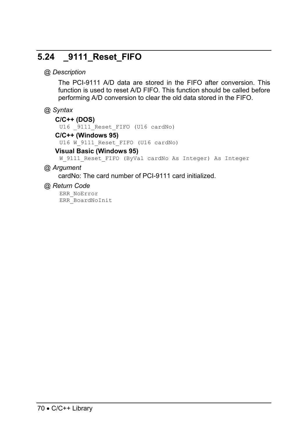# **5.24 \_9111\_Reset\_FIFO**

# *@ Description*

The PCI-9111 A/D data are stored in the FIFO after conversion. This function is used to reset A/D FIFO. This function should be called before performing A/D conversion to clear the old data stored in the FIFO.

## *@ Syntax*

#### **C/C++ (DOS)**

U16 9111 Reset FIFO (U16 cardNo)

## **C/C++ (Windows 95)**

U16 W 9111 Reset FIFO (U16 cardNo)

#### **Visual Basic (Windows 95)**

W 9111 Reset FIFO (ByVal cardNo As Integer) As Integer

## *@ Argument*

cardNo: The card number of PCI-9111 card initialized.

#### *@ Return Code*

ERR\_NoError ERR\_BoardNoInit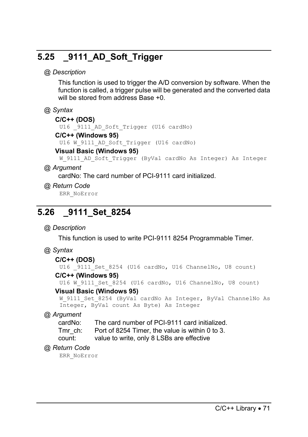# **5.25 \_9111\_AD\_Soft\_Trigger**

# *@ Description*

This function is used to trigger the A/D conversion by software. When the function is called, a trigger pulse will be generated and the converted data will be stored from address Base +0.

## *@ Syntax*

#### **C/C++ (DOS)**

U16 9111 AD Soft Trigger (U16 cardNo)

### **C/C++ (Windows 95)**

U16 W 9111 AD Soft Trigger (U16 cardNo)

#### **Visual Basic (Windows 95)**

W 9111 AD Soft Trigger (ByVal cardNo As Integer) As Integer

## *@ Argument*

cardNo: The card number of PCI-9111 card initialized.

## *@ Return Code*

ERR\_NoError

# **5.26 \_9111\_Set\_8254**

# *@ Description*

This function is used to write PCI-9111 8254 Programmable Timer.

# *@ Syntax*

#### **C/C++ (DOS)**

U16 9111 Set 8254 (U16 cardNo, U16 ChannelNo, U8 count)

# **C/C++ (Windows 95)**

U16 W 9111 Set 8254 (U16 cardNo, U16 ChannelNo, U8 count)

#### **Visual Basic (Windows 95)**

```
W 9111 Set 8254 (ByVal cardNo As Integer, ByVal ChannelNo As
Integer, ByVal count As Byte) As Integer
```
# *@ Argument*

cardNo: The card number of PCI-9111 card initialized.

- Tmr\_ch: Port of 8254 Timer, the value is within 0 to 3.
- count: value to write, only 8 LSBs are effective

# *@ Return Code*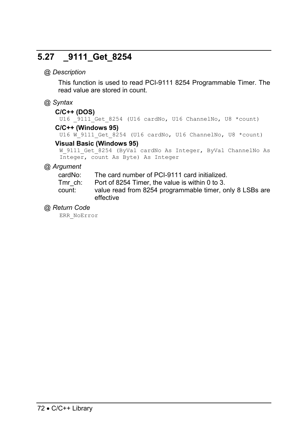# **5.27 \_9111\_Get\_8254**

## *@ Description*

This function is used to read PCI-9111 8254 Programmable Timer. The read value are stored in count.

### *@ Syntax*

#### **C/C++ (DOS)**

U16 9111 Get 8254 (U16 cardNo, U16 ChannelNo, U8 \*count)

## **C/C++ (Windows 95)**

U16 W 9111 Get 8254 (U16 cardNo, U16 ChannelNo, U8 \*count)

#### **Visual Basic (Windows 95)**

```
W 9111 Get 8254 (ByVal cardNo As Integer, ByVal ChannelNo As
Integer, count As Byte) As Integer
```
#### *@ Argument*

cardNo: The card number of PCI-9111 card initialized.

Tmr\_ch: Port of 8254 Timer, the value is within 0 to 3.

count: value read from 8254 programmable timer, only 8 LSBs are effective

#### *@ Return Code*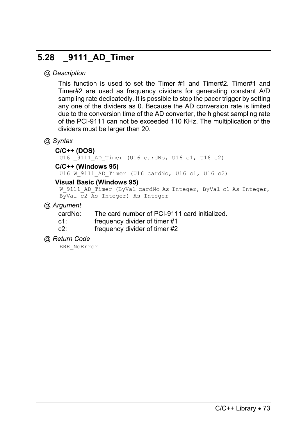# **5.28 \_9111\_AD\_Timer**

## *@ Description*

This function is used to set the Timer #1 and Timer#2. Timer#1 and Timer#2 are used as frequency dividers for generating constant A/D sampling rate dedicatedly. It is possible to stop the pacer trigger by setting any one of the dividers as 0. Because the AD conversion rate is limited due to the conversion time of the AD converter, the highest sampling rate of the PCI-9111 can not be exceeded 110 KHz. The multiplication of the dividers must be larger than 20.

## *@ Syntax*

#### **C/C++ (DOS)**

U16 9111 AD Timer (U16 cardNo, U16 c1, U16 c2)

#### **C/C++ (Windows 95)**

U16 W 9111 AD Timer (U16 cardNo, U16 c1, U16 c2)

#### **Visual Basic (Windows 95)**

```
W 9111 AD Timer (ByVal cardNo As Integer, ByVal c1 As Integer,
ByVal c2 As Integer) As Integer
```
#### *@ Argument*

cardNo: The card number of PCI-9111 card initialized.

- c1: frequency divider of timer #1
- c2: frequency divider of timer #2

#### *@ Return Code*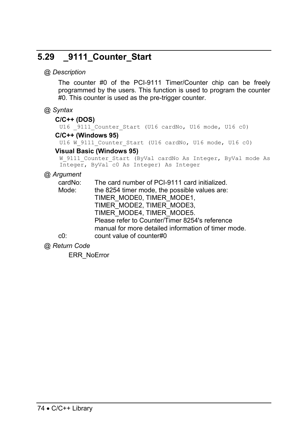# **5.29 \_9111\_Counter\_Start**

### *@ Description*

The counter #0 of the PCI-9111 Timer/Counter chip can be freely programmed by the users. This function is used to program the counter #0. This counter is used as the pre-trigger counter.

## *@ Syntax*

#### **C/C++ (DOS)**

U16 9111 Counter Start (U16 cardNo, U16 mode, U16 c0)

#### **C/C++ (Windows 95)**

U16 W 9111 Counter Start (U16 cardNo, U16 mode, U16 c0)

#### **Visual Basic (Windows 95)**

W 9111 Counter Start (ByVal cardNo As Integer, ByVal mode As Integer, ByVal c0 As Integer) As Integer

# *@ Argument*

| cardNo: | The card number of PCI-9111 card initialized.       |
|---------|-----------------------------------------------------|
| Mode:   | the 8254 timer mode, the possible values are:       |
|         | TIMER MODEO, TIMER MODE1,                           |
|         | TIMER MODE2, TIMER MODE3,                           |
|         | TIMER MODE4, TIMER MODE5.                           |
|         | Please refer to Counter/Timer 8254's reference      |
|         | manual for more detailed information of timer mode. |
| c0:     | count value of counter#0                            |
|         |                                                     |

*@ Return Code*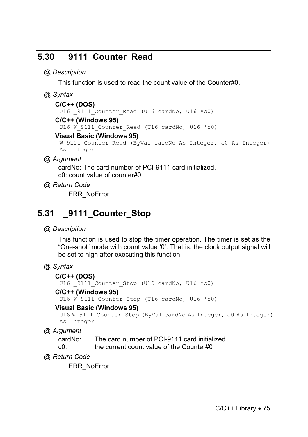# **5.30 \_9111\_Counter\_Read**

# *@ Description*

This function is used to read the count value of the Counter#0.

# *@ Syntax*

#### **C/C++ (DOS)**

U16  $9111$  Counter Read (U16 cardNo, U16 \*c0)

#### **C/C++ (Windows 95)**

U16 W 9111 Counter Read (U16 cardNo, U16 \*c0)

#### **Visual Basic (Windows 95)**

```
W 9111 Counter Read (ByVal cardNo As Integer, c0 As Integer)
As Integer
```
# *@ Argument*

cardNo: The card number of PCI-9111 card initialized. c0: count value of counter#0

## *@ Return Code*

ERR\_NoError

# **5.31 \_9111\_Counter\_Stop**

# *@ Description*

This function is used to stop the timer operation. The timer is set as the "One-shot" mode with count value '0'. That is, the clock output signal will be set to high after executing this function.

# *@ Syntax*

#### **C/C++ (DOS)**

U16  $9111$  Counter Stop (U16 cardNo, U16 \*c0)

#### **C/C++ (Windows 95)**

U16 W 9111 Counter Stop (U16 cardNo, U16 \*c0)

# **Visual Basic (Windows 95)**

```
U16 W 9111 Counter Stop (ByVal cardNo As Integer, c0 As Integer)
As Integer
```
*@ Argument* 

| cardNo: | The card number of PCI-9111 card initialized. |
|---------|-----------------------------------------------|
| c0:     | the current count value of the Counter#0      |

*@ Return Code*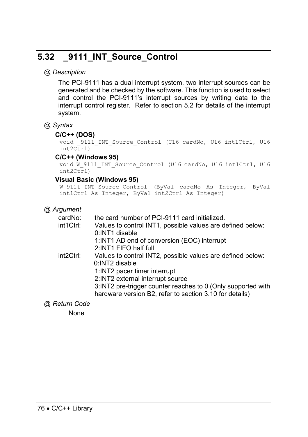# **5.32 \_9111\_INT\_Source\_Control**

# *@ Description*

The PCI-9111 has a dual interrupt system, two interrupt sources can be generated and be checked by the software. This function is used to select and control the PCI-9111's interrupt sources by writing data to the interrupt control register. Refer to section 5.2 for details of the interrupt system.

# *@ Syntax*

#### **C/C++ (DOS)**

void 9111 INT Source Control (U16 cardNo, U16 int1Ctrl, U16 int2Ctrl)

## **C/C++ (Windows 95)**

```
void W 9111 INT Source Control (U16 cardNo, U16 int1Ctrl, U16
int2Ctrl)
```
#### **Visual Basic (Windows 95)**

```
W_9111_INT_Source_Control (ByVal cardNo As Integer, ByVal
int1Ctrl As Integer, ByVal int2Ctrl As Integer)
```
# *@ Argument*

| cardNo:   | the card number of PCI-9111 card initialized.                |
|-----------|--------------------------------------------------------------|
| int1Ctrl: | Values to control INT1, possible values are defined below:   |
|           | 0:INT1 disable                                               |
|           | 1:INT1 AD end of conversion (EOC) interrupt                  |
|           | 2:INT1 FIFO half full                                        |
| int2Ctrl: | Values to control INT2, possible values are defined below:   |
|           | 0:INT2 disable                                               |
|           | 1:INT2 pacer timer interrupt                                 |
|           | 2:INT2 external interrupt source                             |
|           | 3:INT2 pre-trigger counter reaches to 0 (Only supported with |
|           | hardware version B2, refer to section 3.10 for details)      |
|           |                                                              |

*@ Return Code* 

None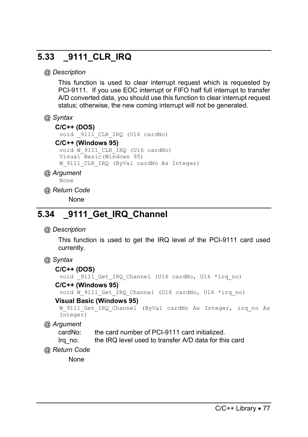# **5.33 \_9111\_CLR\_IRQ**

# *@ Description*

This function is used to clear interrupt request which is requested by PCI-9111. If you use EOC interrupt or FIFO half full interrupt to transfer A/D converted data, you should use this function to clear interrupt request status; otherwise, the new coming interrupt will not be generated.

# *@ Syntax*

#### **C/C++ (DOS)**

void \_9111\_CLR\_IRQ (U16 cardNo)

#### **C/C++ (Windows 95)**

void W\_9111\_CLR\_IRQ (U16 cardNo) Visual Basic(Windows 95) W 9111 CLR IRQ (ByVal cardNo As Integer)

## *@ Argument*

```
None
```
## *@ Return Code*

None

# **5.34 \_9111\_Get\_IRQ\_Channel**

# *@ Description*

This function is used to get the IRQ level of the PCI-9111 card used currently.

# *@ Syntax*

#### **C/C++ (DOS)**

void \_9111\_Get\_IRQ\_Channel (U16 cardNo, U16 \*irq\_no)

#### **C/C++ (Windows 95)**

void W\_9111\_Get\_IRQ\_Channel (U16 cardNo, U16 \*irq\_no)

#### **Visual Basic (Windows 95)**

```
W 9111 Get IRQ Channel (ByVal cardNo As Integer, irq no As
Integer)
```
*@ Argument* 

cardNo: the card number of PCI-9111 card initialized.

Irq no: the IRQ level used to transfer A/D data for this card

*@ Return Code* 

None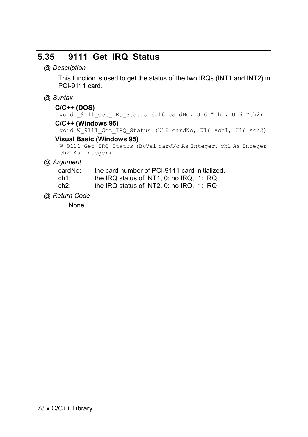# **5.35 \_9111\_Get\_IRQ\_Status**

*@ Description* 

This function is used to get the status of the two IRQs (INT1 and INT2) in PCI-9111 card.

# *@ Syntax*

# **C/C++ (DOS)**

void 9111 Get IRQ Status (U16 cardNo, U16 \*ch1, U16 \*ch2)

#### **C/C++ (Windows 95)**

void W 9111 Get IRQ Status (U16 cardNo, U16 \*ch1, U16 \*ch2)

## **Visual Basic (Windows 95)**

```
W_9111_Get_IRQ_Status (ByVal cardNo As Integer, ch1 As Integer,
ch2 As Integer)
```
# *@ Argument*

| cardNo: | the card number of PCI-9111 card initialized. |
|---------|-----------------------------------------------|
|         |                                               |

ch1: the IRQ status of INT1, 0: no IRQ, 1: IRQ

ch2: the IRQ status of INT2, 0: no IRQ, 1: IRQ

*@ Return Code* 

None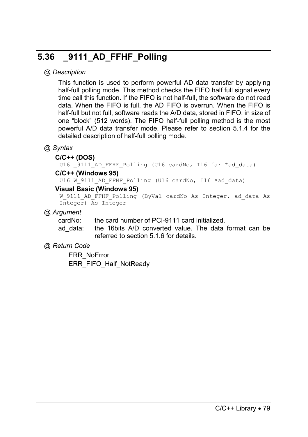# **5.36 \_9111\_AD\_FFHF\_Polling**

## *@ Description*

This function is used to perform powerful AD data transfer by applying half-full polling mode. This method checks the FIFO half full signal every time call this function. If the FIFO is not half-full, the software do not read data. When the FIFO is full, the AD FIFO is overrun. When the FIFO is half-full but not full, software reads the A/D data, stored in FIFO, in size of one "block" (512 words). The FIFO half-full polling method is the most powerful A/D data transfer mode. Please refer to section 5.1.4 for the detailed description of half-full polling mode.

# *@ Syntax*

#### **C/C++ (DOS)**

U16 9111 AD FFHF Polling (U16 cardNo, I16 far \*ad data)

#### **C/C++ (Windows 95)**

U16 W 9111 AD FFHF Polling (U16 cardNo, I16 \*ad data)

#### **Visual Basic (Windows 95)**

```
W 9111 AD FFHF Polling (ByVal cardNo As Integer, ad data As
Integer) As Integer
```
#### *@ Argument*

cardNo: the card number of PCI-9111 card initialized.

ad data: the 16bits A/D converted value. The data format can be referred to section 5.1.6 for details.

#### *@ Return Code*

ERR\_NoError ERR\_FIFO\_Half\_NotReady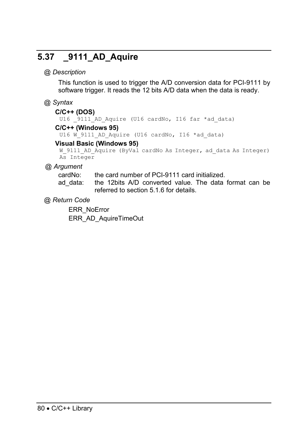# **5.37 \_9111\_AD\_Aquire**

# *@ Description*

This function is used to trigger the A/D conversion data for PCI-9111 by software trigger. It reads the 12 bits A/D data when the data is ready.

## *@ Syntax*

#### **C/C++ (DOS)**

U16 9111 AD Aquire (U16 cardNo, I16 far \*ad data)

# **C/C++ (Windows 95)**

U16 W 9111 AD Aquire (U16 cardNo, I16 \*ad data)

#### **Visual Basic (Windows 95)**

```
W 9111 AD Aquire (ByVal cardNo As Integer, ad data As Integer)
As Integer
```
## *@ Argument*

cardNo: the card number of PCI-9111 card initialized.

ad data: the 12bits A/D converted value. The data format can be referred to section 5.1.6 for details.

# *@ Return Code*

ERR\_NoError ERR\_AD\_AquireTimeOut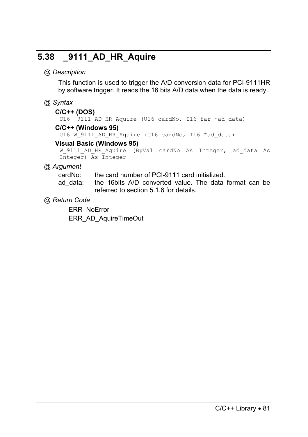# **5.38 \_9111\_AD\_HR\_Aquire**

# *@ Description*

This function is used to trigger the A/D conversion data for PCI-9111HR by software trigger. It reads the 16 bits A/D data when the data is ready.

# *@ Syntax*

#### **C/C++ (DOS)**

U16 9111 AD HR Aquire (U16 cardNo, I16 far \*ad data) **C/C++ (Windows 95)** 

U16 W 9111 AD HR Aquire (U16 cardNo, I16 \*ad data)

#### **Visual Basic (Windows 95)**

W 9111 AD HR Aquire (ByVal cardNo As Integer, ad data As Integer) As Integer

## *@ Argument*

cardNo: the card number of PCI-9111 card initialized.

ad data: the 16bits A/D converted value. The data format can be referred to section 5.1.6 for details.

# *@ Return Code*

ERR\_NoError ERR\_AD\_AquireTimeOut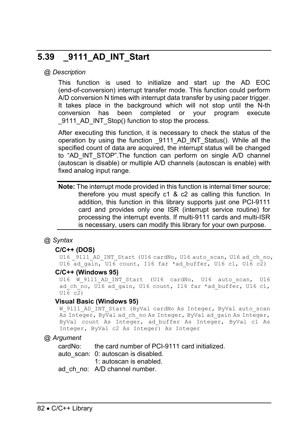# **5.39 \_9111\_AD\_INT\_Start**

#### *@ Description*

This function is used to initialize and start up the AD EOC (end-of-conversion) interrupt transfer mode. This function could perform A/D conversion N times with interrupt data transfer by using pacer trigger. It takes place in the background which will not stop until the N-th conversion has been completed or your program execute 9111\_AD\_INT\_Stop() function to stop the process.

After executing this function, it is necessary to check the status of the operation by using the function \_9111\_AD\_INT\_Status(). While all the specified count of data are acquired, the interrupt status will be changed to "AD\_INT\_STOP".The function can perform on single A/D channel (autoscan is disable) or multiple A/D channels (autoscan is enable) with fixed analog input range.

**Note:** The interrupt mode provided in this function is internal timer source; therefore you must specify c1 & c2 as calling this function. In addition, this function in this library supports just one PCI-9111 card and provides only one ISR (interrupt service routine) for processing the interrupt events. If multi-9111 cards and multi-ISR is necessary, users can modify this library for your own purpose.

#### *@ Syntax*

#### **C/C++ (DOS)**

U16 9111 AD INT Start (U16 cardNo, U16 auto scan, U16 ad ch\_no, U16 ad gain, U16 count, I16 far \*ad buffer, U16 c1, U16 c2)

#### **C/C++ (Windows 95)**

U16 W 9111 AD INT Start (U16 cardNo, U16 auto scan, U16 ad ch\_no, U16 ad gain, U16 count, I16 far \*ad buffer, U16 c1,  $U16 \text{ c}2$ 

#### **Visual Basic (Windows 95)**

W\_9111\_AD\_INT\_Start (ByVal cardNo As Integer, ByVal auto\_scan As Integer, ByVal ad ch no As Integer, ByVal ad gain As Integer, ByVal count As Integer, ad\_buffer As Integer, ByVal c1 As Integer, ByVal c2 As Integer) As Integer

#### *@ Argument*

cardNo: the card number of PCI-9111 card initialized.

- auto\_scan: 0: autoscan is disabled.
	- 1: autoscan is enabled.

ad ch no: A/D channel number.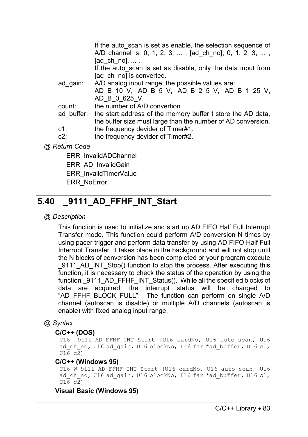|             | If the auto scan is set as enable, the selection sequence of<br>A/D channel is: 0, 1, 2, 3, , [ad_ch_no], 0, 1, 2, 3, , |
|-------------|-------------------------------------------------------------------------------------------------------------------------|
|             | [ad ch no], $\dots$ .                                                                                                   |
|             | If the auto scan is set as disable, only the data input from                                                            |
|             | [ad ch no] is converted.                                                                                                |
| ad gain:    | A/D analog input range, the possible values are:                                                                        |
|             | AD B 10 V, AD B 5 V, AD B 2 5 V, AD B 1 25 V,                                                                           |
|             | AD B 0 625 V.                                                                                                           |
| count:      | the number of A/D convertion                                                                                            |
| ad buffer:  | the start address of the memory buffer t store the AD data,                                                             |
|             | the buffer size must large than the number of AD conversion.                                                            |
| $c1$ :      | the frequency devider of Timer#1.                                                                                       |
| $c2$ :      | the frequency devider of Timer#2.                                                                                       |
| Return Code |                                                                                                                         |

ERR\_InvalidADChannel ERR\_AD\_InvalidGain ERR\_InvalidTimerValue ERR\_NoError

# **5.40 \_9111\_AD\_FFHF\_INT\_Start**

# *@ Description*

*@ Return Code* 

This function is used to initialize and start up AD FIFO Half Full Interrupt Transfer mode. This function could perform A/D conversion N times by using pacer trigger and perform data transfer by using AD FIFO Half Full Interrupt Transfer. It takes place in the background and will not stop until the N blocks of conversion has been completed or your program execute 9111 AD INT Stop() function to stop the process. After executing this function, it is necessary to check the status of the operation by using the function 9111 AD\_FFHF\_INT\_Status(). While all the specified blocks of data are acquired, the interrupt status will be changed to "AD\_FFHF\_BLOCK\_FULL". The function can perform on single A/D channel (autoscan is disable) or multiple A/D channels (autoscan is enable) with fixed analog input range.

#### *@ Syntax*

#### **C/C++ (DOS)**

U16 9111 AD FFHF INT Start (U16 cardNo, U16 auto scan, U16 ad ch\_no,  $U16$  ad gain,  $U16$  blockNo, I16 far \*ad buffer, U16 c1, U16 c2)

#### **C/C++ (Windows 95)**

U16 W 9111 AD FFHF INT Start (U16 cardNo, U16 auto scan, U16 ad ch\_no,  $\overline{u}16$  ad gain,  $\overline{u}16$  blockNo, I16 far \*ad buffer, U16 c1,  $\overline{U16}$  c<sub>2</sub>)

#### **Visual Basic (Windows 95)**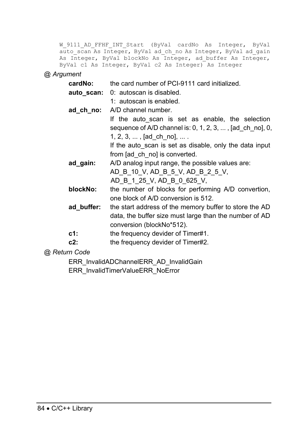W 9111 AD FFHF INT Start (ByVal cardNo As Integer, ByVal auto scan As Integer, ByVal ad ch no As Integer, ByVal ad gain As Integer, ByVal blockNo As Integer, ad\_buffer As Integer, ByVal c1 As Integer, ByVal c2 As Integer) As Integer

#### *@ Argument*

| cardNo:    | the card number of PCI-9111 card initialized.            |
|------------|----------------------------------------------------------|
| auto scan: | 0: autoscan is disabled.                                 |
|            | 1: autoscan is enabled.                                  |
| ad ch no:  | A/D channel number.                                      |
|            | If the auto scan is set as enable, the selection         |
|            | sequence of A/D channel is: 0, 1, 2, 3, , [ad_ch_no], 0, |
|            | 1, 2, 3, , [ad ch no],                                   |
|            | If the auto scan is set as disable, only the data input  |
|            | from [ad_ch_no] is converted.                            |
| ad_gain:   | A/D analog input range, the possible values are:         |
|            | AD B 10 V, AD B 5 V, AD B 2 5 V,                         |
|            | AD B 1 25 V, AD B 0 625 V,                               |
| blockNo:   | the number of blocks for performing A/D convertion,      |
|            | one block of A/D conversion is 512.                      |
| ad buffer: | the start address of the memory buffer to store the AD   |
|            | data, the buffer size must large than the number of AD   |
|            | conversion (blockNo*512).                                |
| $c1$ :     | the frequency devider of Timer#1.                        |
| $c2$ :     | the frequency devider of Timer#2.                        |

#### *@ Return Code*

ERR\_InvalidADChannelERR\_AD\_InvalidGain ERR\_InvalidTimerValueERR\_NoError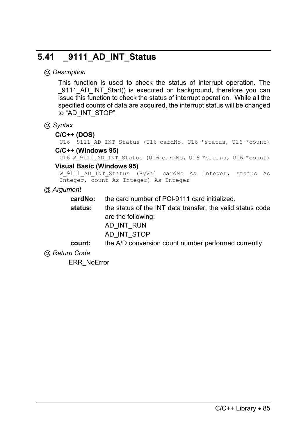# **5.41 \_9111\_AD\_INT\_Status**

# *@ Description*

This function is used to check the status of interrupt operation. The 9111 AD INT Start() is executed on background, therefore you can issue this function to check the status of interrupt operation. While all the specified counts of data are acquired, the interrupt status will be changed to "AD\_INT\_STOP".

## *@ Syntax*

#### **C/C++ (DOS)**

U16 9111 AD INT Status (U16 cardNo, U16 \*status, U16 \*count)

## **C/C++ (Windows 95)**

U16 W 9111 AD INT Status (U16 cardNo, U16 \*status, U16 \*count)

#### **Visual Basic (Windows 95)**

```
W_9111_AD_INT_Status (ByVal cardNo As Integer, status As
Integer, count As Integer) As Integer
```
# *@ Argument*

**cardNo:** the card number of PCI-9111 card initialized.

- **status:** the status of the INT data transfer, the valid status code are the following:
	- AD\_INT\_RUN
	- AD\_INT\_STOP
- **count:** the A/D conversion count number performed currently

# *@ Return Code*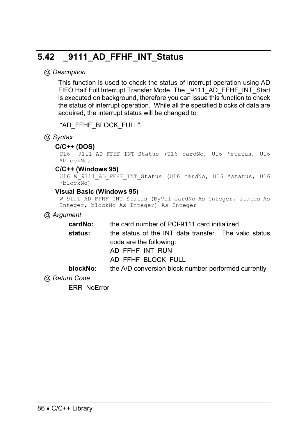# **5.42 \_9111\_AD\_FFHF\_INT\_Status**

# *@ Description*

This function is used to check the status of interrupt operation using AD FIFO Half Full Interrupt Transfer Mode. The 9111 AD\_FFHF\_INT\_Start is executed on background, therefore you can issue this function to check the status of interrupt operation. While all the specified blocks of data are acquired, the interrupt status will be changed to

"AD\_FFHF\_BLOCK\_FULL".

## *@ Syntax*

#### **C/C++ (DOS)**

```
U16 9111 AD FFHF INT Status (U16 cardNo, U16 *status, U16
*blockNo)
```
#### **C/C++ (Windows 95)**

```
U16 W 9111 AD FFHF INT Status (U16 cardNo, U16 *status, U16
*blockNo)
```
#### **Visual Basic (Windows 95)**

```
W_9111_AD_FFHF_INT_Status (ByVal cardNo As Integer, status As
Integer, blockNo As Integer) As Integer
```
#### *@ Argument*

**cardNo:** the card number of PCI-9111 card initialized.

**status:** the status of the INT data transfer. The valid status code are the following:

AD\_FFHF\_INT\_RUN

AD\_FFHF\_BLOCK\_FULL

**blockNo:** the A/D conversion block number performed currently

#### *@ Return Code*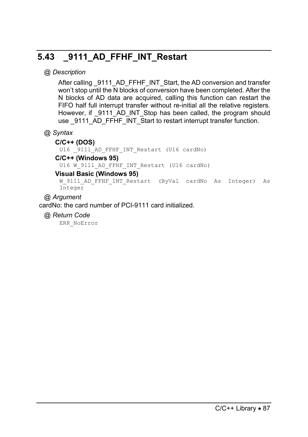# **5.43 \_9111\_AD\_FFHF\_INT\_Restart**

# *@ Description*

After calling 9111 AD\_FFHF\_INT\_Start, the AD conversion and transfer won't stop until the N blocks of conversion have been completed. After the N blocks of AD data are acquired, calling this function can restart the FIFO half full interrupt transfer without re-initial all the relative registers. However, if \_9111\_AD\_INT\_Stop has been called, the program should use 9111 AD FFHF INT Start to restart interrupt transfer function.

# *@ Syntax*

#### **C/C++ (DOS)**

U16 9111 AD FFHF INT Restart (U16 cardNo)

#### **C/C++ (Windows 95)**

U16 W 9111 AD FFHF INT Restart (U16 cardNo)

#### **Visual Basic (Windows 95)**

W\_9111\_AD\_FFHF\_INT\_Restart (ByVal cardNo As Integer) As Integer

## *@ Argument*

cardNo: the card number of PCI-9111 card initialized.

*@ Return Code*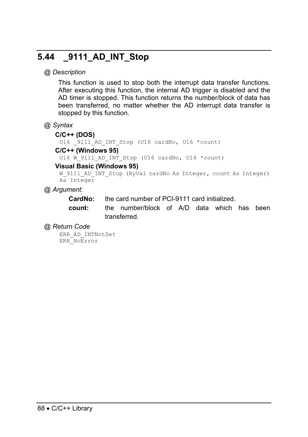# **5.44 \_9111\_AD\_INT\_Stop**

## *@ Description*

This function is used to stop both the interrupt data transfer functions. After executing this function, the internal AD trigger is disabled and the AD timer is stopped. This function returns the number/block of data has been transferred, no matter whether the AD interrupt data transfer is stopped by this function.

#### *@ Syntax*

#### **C/C++ (DOS)**

U16 9111 AD INT Stop (U16 cardNo, U16 \*count)

#### **C/C++ (Windows 95)**

U16 W 9111 AD INT Stop (U16 cardNo, U16 \*count)

#### **Visual Basic (Windows 95)**

```
W_9111_AD_INT_Stop (ByVal cardNo As Integer, count As Integer)
As Integer
```
## *@ Argument:*

**CardNo:** the card number of PCI-9111 card initialized.

**count:** the number/block of A/D data which has been transferred.

#### *@ Return Code*

ERR\_AD\_INTNotSet ERR\_NoError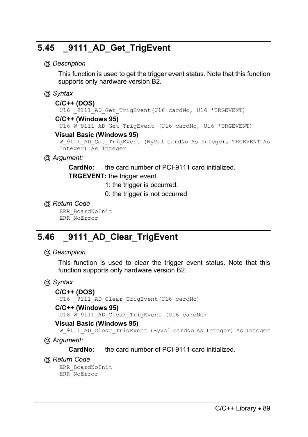# **5.45 \_9111\_AD\_Get\_TrigEvent**

### *@ Description*

This function is used to get the trigger event status. Note that this function supports only hardware version B2.

# *@ Syntax*

#### **C/C++ (DOS)**

U16 9111 AD Get TrigEvent(U16 cardNo, U16 \*TRGEVENT)

#### **C/C++ (Windows 95)**

U16 W 9111 AD Get TrigEvent (U16 cardNo, U16 \*TRGEVENT)

#### **Visual Basic (Windows 95)**

```
W_9111_AD_Get_TrigEvent (ByVal cardNo As Integer, TRGEVENT As
Integer) As Integer
```
# *@ Argument:*

**CardNo:** the card number of PCI-9111 card initialized. **TRGEVENT:** the trigger event.

1: the trigger is occurred.

0: the trigger is not occurred

## *@ Return Code*

ERR\_BoardNoInit ERR\_NoError

# **5.46 \_9111\_AD\_Clear\_TrigEvent**

#### *@ Description*

This function is used to clear the trigger event status. Note that this function supports only hardware version B2.

# *@ Syntax*

#### **C/C++ (DOS)**

U16 9111 AD Clear TrigEvent(U16 cardNo)

#### **C/C++ (Windows 95)**

U16 W 9111 AD Clear TrigEvent (U16 cardNo)

#### **Visual Basic (Windows 95)**

W 9111 AD Clear TrigEvent (ByVal cardNo As Integer) As Integer

*@ Argument:* 

**CardNo:** the card number of PCI-9111 card initialized.

*@ Return Code* 

ERR\_BoardNoInit ERR\_NoError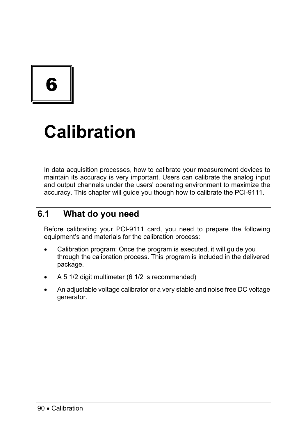6

# **Calibration**

In data acquisition processes, how to calibrate your measurement devices to maintain its accuracy is very important. Users can calibrate the analog input and output channels under the users' operating environment to maximize the accuracy. This chapter will guide you though how to calibrate the PCI-9111.

# **6.1 What do you need**

Before calibrating your PCI-9111 card, you need to prepare the following equipment's and materials for the calibration process:

- Calibration program: Once the program is executed, it will guide you through the calibration process. This program is included in the delivered package.
- A 5 1/2 digit multimeter (6 1/2 is recommended)
- An adjustable voltage calibrator or a very stable and noise free DC voltage generator.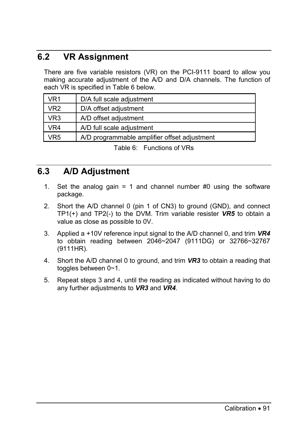# **6.2 VR Assignment**

There are five variable resistors (VR) on the PCI-9111 board to allow you making accurate adjustment of the A/D and D/A channels. The function of each VR is specified in Table 6 below.

| VR1             | D/A full scale adjustment                    |
|-----------------|----------------------------------------------|
| VR <sub>2</sub> | D/A offset adjustment                        |
| VR <sub>3</sub> | A/D offset adjustment                        |
| VR4             | A/D full scale adjustment                    |
| VR5             | A/D programmable amplifier offset adjustment |

Table 6: Functions of VRs

# **6.3 A/D Adjustment**

- 1. Set the analog gain  $= 1$  and channel number #0 using the software package.
- 2. Short the A/D channel 0 (pin 1 of CN3) to ground (GND), and connect TP1(+) and TP2(-) to the DVM. Trim variable resister *VR5* to obtain a value as close as possible to 0V.
- 3. Applied a +10V reference input signal to the A/D channel 0, and trim *VR4* to obtain reading between 2046~2047 (9111DG) or 32766~32767 (9111HR).
- 4. Short the A/D channel 0 to ground, and trim *VR3* to obtain a reading that toggles between 0~1.
- 5. Repeat steps 3 and 4, until the reading as indicated without having to do any further adjustments to *VR3* and *VR4*.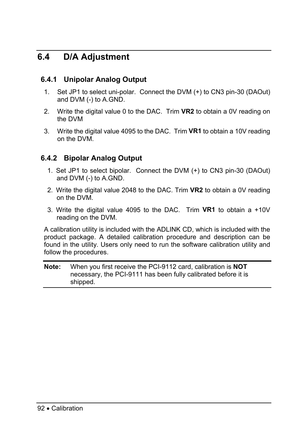# **6.4 D/A Adjustment**

# **6.4.1 Unipolar Analog Output**

- 1. Set JP1 to select uni-polar. Connect the DVM (+) to CN3 pin-30 (DAOut) and DVM (-) to A.GND.
- 2. Write the digital value 0 to the DAC. Trim **VR2** to obtain a 0V reading on the DVM
- 3. Write the digital value 4095 to the DAC. Trim **VR1** to obtain a 10V reading on the DVM.

# **6.4.2 Bipolar Analog Output**

- 1. Set JP1 to select bipolar. Connect the DVM (+) to CN3 pin-30 (DAOut) and DVM (-) to A.GND.
- 2. Write the digital value 2048 to the DAC. Trim **VR2** to obtain a 0V reading on the DVM.
- 3. Write the digital value 4095 to the DAC. Trim **VR1** to obtain a +10V reading on the DVM.

A calibration utility is included with the ADLINK CD, which is included with the product package. A detailed calibration procedure and description can be found in the utility. Users only need to run the software calibration utility and follow the procedures.

**Note:** When you first receive the PCI-9112 card, calibration is **NOT** necessary, the PCI-9111 has been fully calibrated before it is shipped.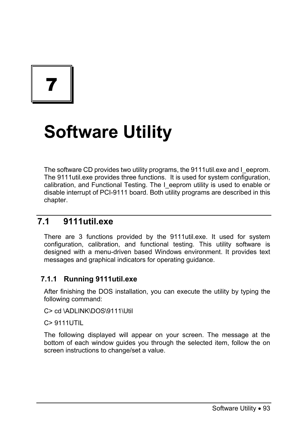7

# **Software Utility**

The software CD provides two utility programs, the 9111util, exe and I\_eeprom. The 9111util.exe provides three functions. It is used for system configuration, calibration, and Functional Testing. The I eeprom utility is used to enable or disable interrupt of PCI-9111 board. Both utility programs are described in this chapter.

# **7.1 9111util.exe**

There are 3 functions provided by the 9111util.exe. It used for system configuration, calibration, and functional testing. This utility software is designed with a menu-driven based Windows environment. It provides text messages and graphical indicators for operating guidance.

# **7.1.1 Running 9111util.exe**

After finishing the DOS installation, you can execute the utility by typing the following command:

C> cd \ADLINK\DOS\9111\Util

C> 9111UTIL

The following displayed will appear on your screen. The message at the bottom of each window guides you through the selected item, follow the on screen instructions to change/set a value.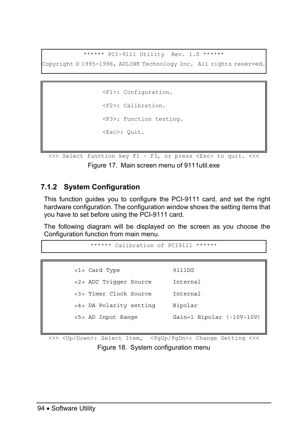\*\*\*\*\*\* PCI-9111 Utility Rev. 1.0 \*\*\*\*\*\*

Copyright © 1995-1996, ADLINK Technology Inc. All rights reserved.

```
<F1>: Configuration. 
<F2>: Calibration. 
<F3>: Function testing. 
<Esc>: Quit.
```

```
>>> Select function key F1 ~ F3, or press <Esc> to quit. <<<
            Figure 17. Main screen menu of 9111util.exe
```
# **7.1.2 System Configuration**

This function guides you to configure the PCI-9111 card, and set the right hardware configuration. The configuration window shows the setting items that you have to set before using the PCI-9111 card.

The following diagram will be displayed on the screen as you choose the Configuration function from main menu.

```
****** Calibration of PCT9111 ******
```
<1> Card Type 9111DG <2> ADC Trigger Source Internal <3> Timer Clock Source Internal <4> DA Polarity setting Bipolar <5> AD Input Range Gain=1 Bipolar (-10V~10V)

>>> <Up/Down>: Select Item, <PqUp/PqDn>: Change Setting <<< Figure 18. System configuration menu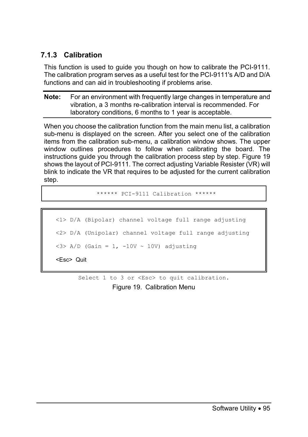# **7.1.3 Calibration**

This function is used to guide you though on how to calibrate the PCI-9111. The calibration program serves as a useful test for the PCI-9111's A/D and D/A functions and can aid in troubleshooting if problems arise.

**Note:** For an environment with frequently large changes in temperature and vibration, a 3 months re-calibration interval is recommended. For laboratory conditions, 6 months to 1 year is acceptable.

When you choose the calibration function from the main menu list, a calibration sub-menu is displayed on the screen. After you select one of the calibration items from the calibration sub-menu, a calibration window shows. The upper window outlines procedures to follow when calibrating the board. The instructions guide you through the calibration process step by step. Figure 19 shows the layout of PCI-9111. The correct adjusting Variable Resister (VR) will blink to indicate the VR that requires to be adjusted for the current calibration step.

\*\*\*\*\*\* PCI-9111 Calibration \*\*\*\*\*\*

```
<1> D/A (Bipolar) channel voltage full range adjusting 
<2> D/A (Unipolar) channel voltage full range adjusting 
\langle 3 \rangle A/D (Gain = 1, -10V \sim 10V) adjusting
<Esc> Quit
```
Select 1 to 3 or <Esc> to quit calibration.

Figure 19. Calibration Menu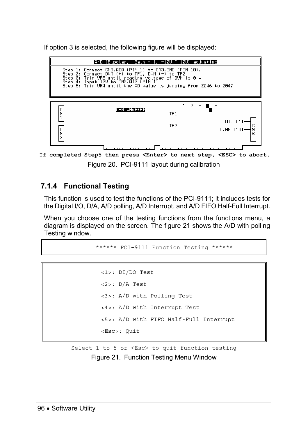If option 3 is selected, the following figure will be displayed:



**If completed Step5 then press <Enter> to next step, <ESC> to abort.**  Figure 20. PCI-9111 layout during calibration

# **7.1.4 Functional Testing**

This function is used to test the functions of the PCI-9111; it includes tests for the Digital I/O, D/A, A/D polling, A/D Interrupt, and A/D FIFO Half-Full Interrupt.

When you choose one of the testing functions from the functions menu, a diagram is displayed on the screen. The figure 21 shows the A/D with polling Testing window.

```
****** PCI-9111 Function Testing ******
```

```
<1>: DI/DO Test 
<2>: D/A Test 
<3>: A/D with Polling Test 
<4>: A/D with Interrupt Test 
<5>: A/D with FIFO Half-Full Interrupt 
<Esc>: Quit
```
Select 1 to 5 or <Esc> to quit function testing

Figure 21. Function Testing Menu Window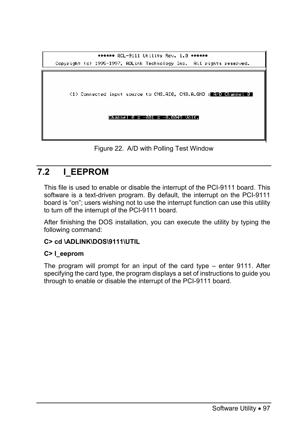

Figure 22. A/D with Polling Test Window

# **7.2 I\_EEPROM**

This file is used to enable or disable the interrupt of the PCI-9111 board. This software is a text-driven program. By default, the interrupt on the PCI-9111 board is "on"; users wishing not to use the interrupt function can use this utility to turn off the interrupt of the PCI-9111 board.

After finishing the DOS installation, you can execute the utility by typing the following command:

# **C> cd \ADLINK\DOS\9111\UTIL**

#### **C> I\_eeprom**

The program will prompt for an input of the card type – enter 9111. After specifying the card type, the program displays a set of instructions to guide you through to enable or disable the interrupt of the PCI-9111 board.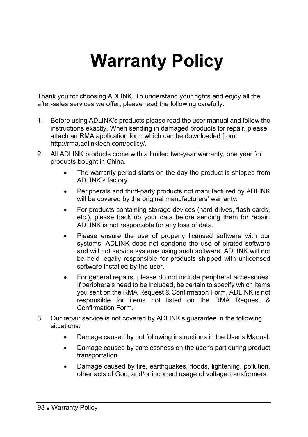# **Warranty Policy**

Thank you for choosing ADLINK. To understand your rights and enjoy all the after-sales services we offer, please read the following carefully.

- 1. Before using ADLINK's products please read the user manual and follow the instructions exactly. When sending in damaged products for repair, please attach an RMA application form which can be downloaded from: http://rma.adlinktech.com/policy/.
- 2. All ADLINK products come with a limited two-year warranty, one year for products bought in China.
	- The warranty period starts on the day the product is shipped from ADLINK's factory.
	- Peripherals and third-party products not manufactured by ADLINK will be covered by the original manufacturers' warranty.
	- For products containing storage devices (hard drives, flash cards, etc.), please back up your data before sending them for repair. ADLINK is not responsible for any loss of data.
	- Please ensure the use of properly licensed software with our systems. ADLINK does not condone the use of pirated software and will not service systems using such software. ADLINK will not be held legally responsible for products shipped with unlicensed software installed by the user.
	- For general repairs, please do not include peripheral accessories. If peripherals need to be included, be certain to specify which items you sent on the RMA Request & Confirmation Form. ADLINK is not responsible for items not listed on the RMA Request & Confirmation Form.
- 3. Our repair service is not covered by ADLINK's guarantee in the following situations:
	- Damage caused by not following instructions in the User's Manual.
	- Damage caused by carelessness on the user's part during product transportation.
	- Damage caused by fire, earthquakes, floods, lightening, pollution, other acts of God, and/or incorrect usage of voltage transformers.